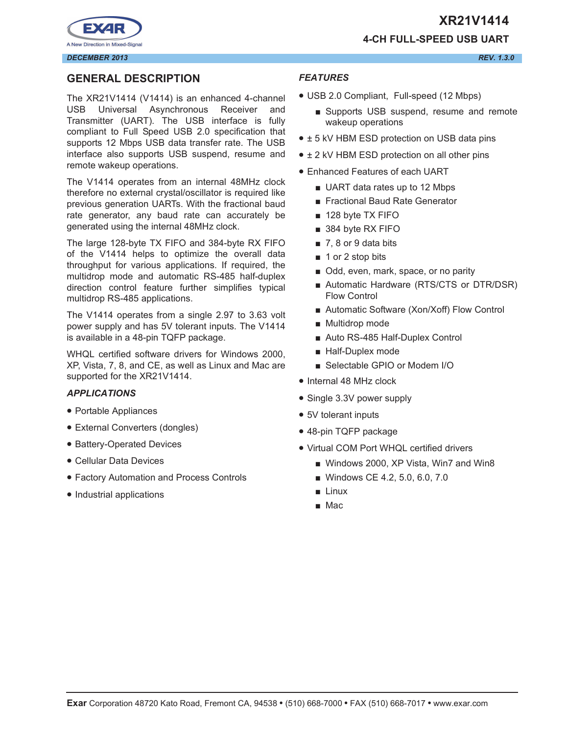



# **GENERAL DESCRIPTION**

The XR21V1414 (V1414) is an enhanced 4-channel USB Universal Asynchronous Receiver and Transmitter (UART). The USB interface is fully compliant to Full Speed USB 2.0 specification that supports 12 Mbps USB data transfer rate. The USB interface also supports USB suspend, resume and remote wakeup operations.

The V1414 operates from an internal 48MHz clock therefore no external crystal/oscillator is required like previous generation UARTs. With the fractional baud rate generator, any baud rate can accurately be generated using the internal 48MHz clock.

The large 128-byte TX FIFO and 384-byte RX FIFO of the V1414 helps to optimize the overall data throughput for various applications. If required, the multidrop mode and automatic RS-485 half-duplex direction control feature further simplifies typical multidrop RS-485 applications.

The V1414 operates from a single 2.97 to 3.63 volt power supply and has 5V tolerant inputs. The V1414 is available in a 48-pin TQFP package.

WHQL certified software drivers for Windows 2000, XP, Vista, 7, 8, and CE, as well as Linux and Mac are supported for the XR21V1414.

#### *APPLICATIONS*

- Portable Appliances
- External Converters (dongles)
- Battery-Operated Devices
- Cellular Data Devices
- Factory Automation and Process Controls
- Industrial applications

# *FEATURES*

- USB 2.0 Compliant, Full-speed (12 Mbps)
	- Supports USB suspend, resume and remote wakeup operations

**4-CH FULL-SPEED USB UART**

- ± 5 kV HBM ESD protection on USB data pins
- $\pm$  2 kV HBM ESD protection on all other pins
- Enhanced Features of each UART
	- UART data rates up to 12 Mbps
	- Fractional Baud Rate Generator
	- 128 byte TX FIFO
	- 384 byte RX FIFO
	- 7, 8 or 9 data bits
	- 1 or 2 stop bits
	- Odd, even, mark, space, or no parity
	- Automatic Hardware (RTS/CTS or DTR/DSR) Flow Control
	- Automatic Software (Xon/Xoff) Flow Control
	- Multidrop mode
	- Auto RS-485 Half-Duplex Control
	- Half-Duplex mode
	- Selectable GPIO or Modem I/O
- Internal 48 MHz clock
- Single 3.3V power supply
- 5V tolerant inputs
- 48-pin TQFP package
- Virtual COM Port WHQL certified drivers
	- Windows 2000, XP Vista, Win7 and Win8
	- Windows CE 4.2, 5.0, 6.0, 7.0
	- Linux
	- Mac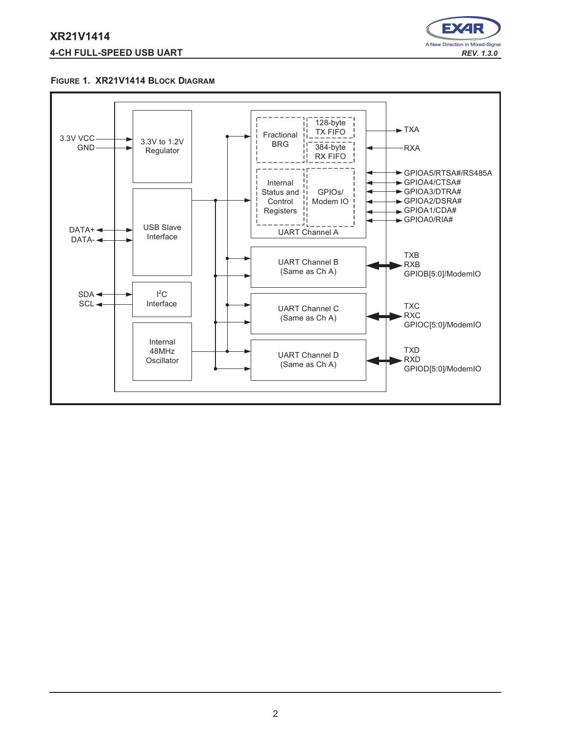# **XR21V1414 4-CH FULL-SPEED USB UART** *REV. 1.3.0*



#### **FIGURE 1. XR21V1414 BLOCK DIAGRAM**

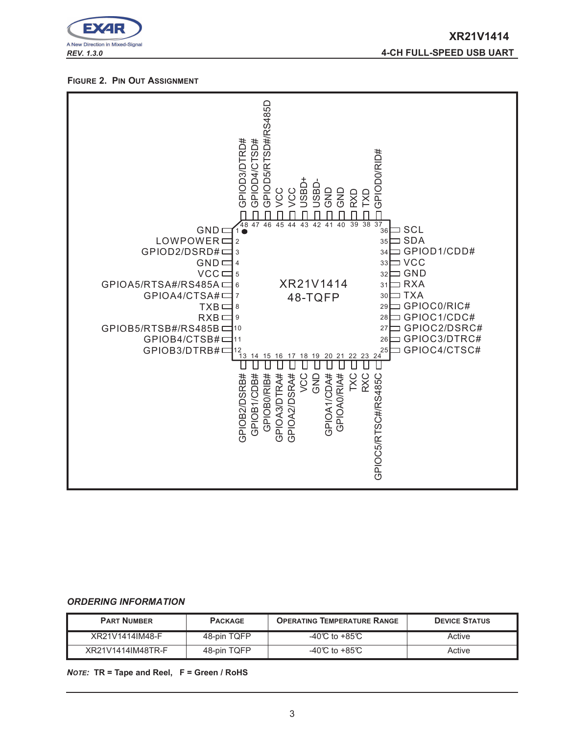

*REV. 1.3.0* **4-CH FULL-SPEED USB UART**

#### **FIGURE 2. PIN OUT ASSIGNMENT**



#### *ORDERING INFORMATION*

| <b>PART NUMBER</b> | <b>PACKAGE</b> | <b>OPERATING TEMPERATURE RANGE</b> | <b>DEVICE STATUS</b> |
|--------------------|----------------|------------------------------------|----------------------|
| XR21V1414IM48-F    | 48-pin TQFP    | -40°C to +85°C                     | Active               |
| XR21V1414IM48TR-F  | 48-pin TQFP    | -40°C to +85°C                     | Active               |

*NOTE:* **TR = Tape and Reel, F = Green / RoHS**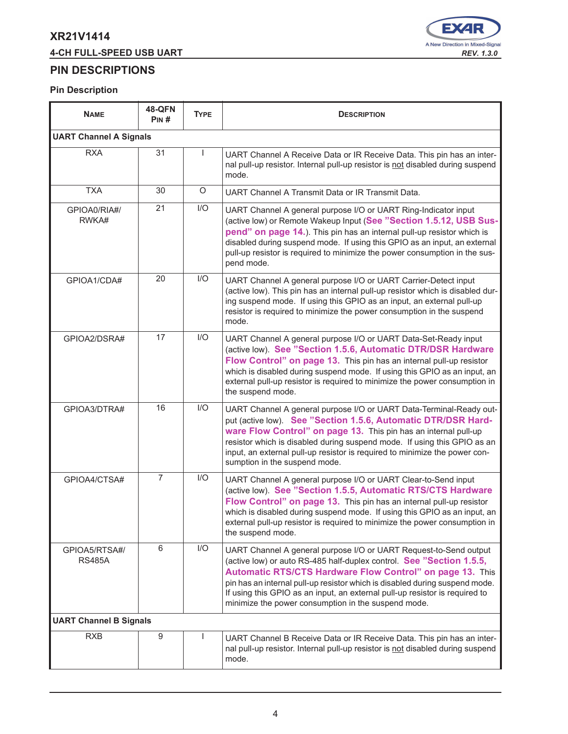# **4-CH FULL-SPEED USB UART** *REV. 1.3.0*



# **PIN DESCRIPTIONS**

| <b>NAME</b>                    | <b>48-QFN</b><br>PIN# | <b>TYPE</b> | <b>DESCRIPTION</b>                                                                                                                                                                                                                                                                                                                                                                                                          |  |  |  |  |  |
|--------------------------------|-----------------------|-------------|-----------------------------------------------------------------------------------------------------------------------------------------------------------------------------------------------------------------------------------------------------------------------------------------------------------------------------------------------------------------------------------------------------------------------------|--|--|--|--|--|
| <b>UART Channel A Signals</b>  |                       |             |                                                                                                                                                                                                                                                                                                                                                                                                                             |  |  |  |  |  |
| <b>RXA</b>                     | 31                    |             | UART Channel A Receive Data or IR Receive Data. This pin has an inter-<br>nal pull-up resistor. Internal pull-up resistor is not disabled during suspend<br>mode.                                                                                                                                                                                                                                                           |  |  |  |  |  |
| <b>TXA</b>                     | 30                    | $\circ$     | UART Channel A Transmit Data or IR Transmit Data.                                                                                                                                                                                                                                                                                                                                                                           |  |  |  |  |  |
| GPIOA0/RIA#/<br>RWKA#          | 21                    | I/O         | UART Channel A general purpose I/O or UART Ring-Indicator input<br>(active low) or Remote Wakeup Input (See "Section 1.5.12, USB Sus-<br>pend" on page 14.). This pin has an internal pull-up resistor which is<br>disabled during suspend mode. If using this GPIO as an input, an external<br>pull-up resistor is required to minimize the power consumption in the sus-<br>pend mode.                                    |  |  |  |  |  |
| GPIOA1/CDA#                    | 20                    | I/O         | UART Channel A general purpose I/O or UART Carrier-Detect input<br>(active low). This pin has an internal pull-up resistor which is disabled dur-<br>ing suspend mode. If using this GPIO as an input, an external pull-up<br>resistor is required to minimize the power consumption in the suspend<br>mode.                                                                                                                |  |  |  |  |  |
| GPIOA2/DSRA#                   | 17                    | I/O         | UART Channel A general purpose I/O or UART Data-Set-Ready input<br>(active low). See "Section 1.5.6, Automatic DTR/DSR Hardware<br>Flow Control" on page 13. This pin has an internal pull-up resistor<br>which is disabled during suspend mode. If using this GPIO as an input, an<br>external pull-up resistor is required to minimize the power consumption in<br>the suspend mode.                                      |  |  |  |  |  |
| GPIOA3/DTRA#                   | 16                    | I/O         | UART Channel A general purpose I/O or UART Data-Terminal-Ready out-<br>put (active low). See "Section 1.5.6, Automatic DTR/DSR Hard-<br>ware Flow Control" on page 13. This pin has an internal pull-up<br>resistor which is disabled during suspend mode. If using this GPIO as an<br>input, an external pull-up resistor is required to minimize the power con-<br>sumption in the suspend mode.                          |  |  |  |  |  |
| GPIOA4/CTSA#                   | $\overline{7}$        | I/O         | UART Channel A general purpose I/O or UART Clear-to-Send input<br>(active low). See "Section 1.5.5, Automatic RTS/CTS Hardware<br>Flow Control" on page 13. This pin has an internal pull-up resistor<br>which is disabled during suspend mode. If using this GPIO as an input, an<br>external pull-up resistor is required to minimize the power consumption in<br>the suspend mode.                                       |  |  |  |  |  |
| GPIOA5/RTSA#/<br><b>RS485A</b> | 6                     | I/O         | UART Channel A general purpose I/O or UART Request-to-Send output<br>(active low) or auto RS-485 half-duplex control. See "Section 1.5.5,<br>Automatic RTS/CTS Hardware Flow Control" on page 13. This<br>pin has an internal pull-up resistor which is disabled during suspend mode.<br>If using this GPIO as an input, an external pull-up resistor is required to<br>minimize the power consumption in the suspend mode. |  |  |  |  |  |
| <b>UART Channel B Signals</b>  |                       |             |                                                                                                                                                                                                                                                                                                                                                                                                                             |  |  |  |  |  |
| <b>RXB</b>                     | 9                     |             | UART Channel B Receive Data or IR Receive Data. This pin has an inter-<br>nal pull-up resistor. Internal pull-up resistor is not disabled during suspend<br>mode.                                                                                                                                                                                                                                                           |  |  |  |  |  |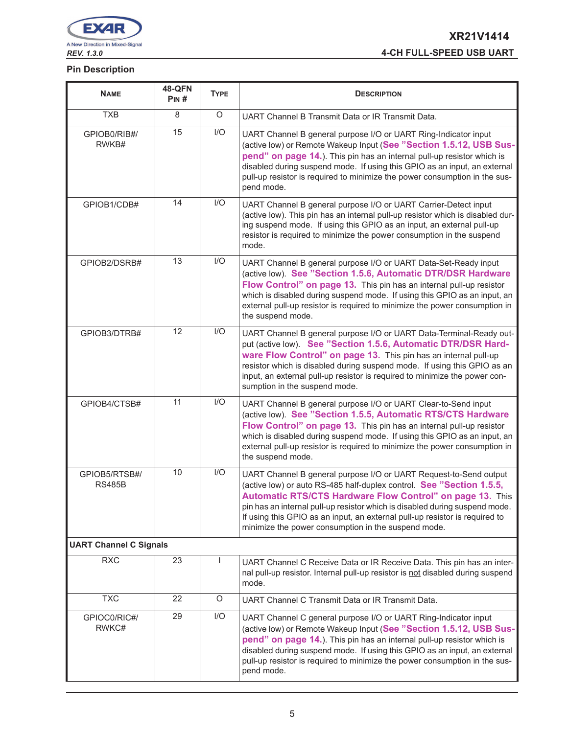

| <b>NAME</b>                    | <b>48-QFN</b><br>PIN# | <b>TYPE</b> | <b>DESCRIPTION</b>                                                                                                                                                                                                                                                                                                                                                                                                          |  |  |  |  |
|--------------------------------|-----------------------|-------------|-----------------------------------------------------------------------------------------------------------------------------------------------------------------------------------------------------------------------------------------------------------------------------------------------------------------------------------------------------------------------------------------------------------------------------|--|--|--|--|
| <b>TXB</b>                     | 8                     | O           | UART Channel B Transmit Data or IR Transmit Data.                                                                                                                                                                                                                                                                                                                                                                           |  |  |  |  |
| GPIOB0/RIB#/<br>RWKB#          | 15                    | I/O         | UART Channel B general purpose I/O or UART Ring-Indicator input<br>(active low) or Remote Wakeup Input (See "Section 1.5.12, USB Sus-<br>pend" on page 14.). This pin has an internal pull-up resistor which is<br>disabled during suspend mode. If using this GPIO as an input, an external<br>pull-up resistor is required to minimize the power consumption in the sus-<br>pend mode.                                    |  |  |  |  |
| GPIOB1/CDB#                    | 14                    | 1/O         | UART Channel B general purpose I/O or UART Carrier-Detect input<br>(active low). This pin has an internal pull-up resistor which is disabled dur-<br>ing suspend mode. If using this GPIO as an input, an external pull-up<br>resistor is required to minimize the power consumption in the suspend<br>mode.                                                                                                                |  |  |  |  |
| GPIOB2/DSRB#                   | 13                    | I/O         | UART Channel B general purpose I/O or UART Data-Set-Ready input<br>(active low). See "Section 1.5.6, Automatic DTR/DSR Hardware<br>Flow Control" on page 13. This pin has an internal pull-up resistor<br>which is disabled during suspend mode. If using this GPIO as an input, an<br>external pull-up resistor is required to minimize the power consumption in<br>the suspend mode.                                      |  |  |  |  |
| GPIOB3/DTRB#                   | 12                    | I/O         | UART Channel B general purpose I/O or UART Data-Terminal-Ready out-<br>put (active low). See "Section 1.5.6, Automatic DTR/DSR Hard-<br>ware Flow Control" on page 13. This pin has an internal pull-up<br>resistor which is disabled during suspend mode. If using this GPIO as an<br>input, an external pull-up resistor is required to minimize the power con-<br>sumption in the suspend mode.                          |  |  |  |  |
| GPIOB4/CTSB#                   | 11                    | I/O         | UART Channel B general purpose I/O or UART Clear-to-Send input<br>(active low). See "Section 1.5.5, Automatic RTS/CTS Hardware<br>Flow Control" on page 13. This pin has an internal pull-up resistor<br>which is disabled during suspend mode. If using this GPIO as an input, an<br>external pull-up resistor is required to minimize the power consumption in<br>the suspend mode.                                       |  |  |  |  |
| GPIOB5/RTSB#/<br><b>RS485B</b> | 10                    | I/O         | UART Channel B general purpose I/O or UART Request-to-Send output<br>(active low) or auto RS-485 half-duplex control. See "Section 1.5.5,<br>Automatic RTS/CTS Hardware Flow Control" on page 13. This<br>pin has an internal pull-up resistor which is disabled during suspend mode.<br>If using this GPIO as an input, an external pull-up resistor is required to<br>minimize the power consumption in the suspend mode. |  |  |  |  |
| <b>UART Channel C Signals</b>  |                       |             |                                                                                                                                                                                                                                                                                                                                                                                                                             |  |  |  |  |
| <b>RXC</b>                     | 23                    |             | UART Channel C Receive Data or IR Receive Data. This pin has an inter-<br>nal pull-up resistor. Internal pull-up resistor is not disabled during suspend<br>mode.                                                                                                                                                                                                                                                           |  |  |  |  |
| <b>TXC</b>                     | 22                    | O           | UART Channel C Transmit Data or IR Transmit Data.                                                                                                                                                                                                                                                                                                                                                                           |  |  |  |  |
| GPIOC0/RIC#/<br>RWKC#          | 29                    | I/O         | UART Channel C general purpose I/O or UART Ring-Indicator input<br>(active low) or Remote Wakeup Input (See "Section 1.5.12, USB Sus-<br>pend" on page 14.). This pin has an internal pull-up resistor which is<br>disabled during suspend mode. If using this GPIO as an input, an external<br>pull-up resistor is required to minimize the power consumption in the sus-<br>pend mode.                                    |  |  |  |  |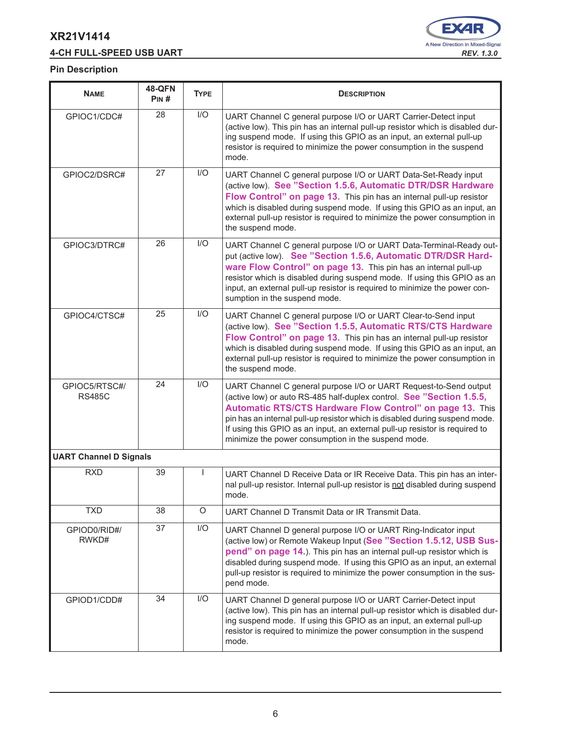# **4-CH FULL-SPEED USB UART** *REV. 1.3.0*



| <b>NAME</b>                    | <b>48-QFN</b><br>PIN# | <b>TYPE</b> | <b>DESCRIPTION</b>                                                                                                                                                                                                                                                                                                                                                                                                          |  |  |  |  |  |
|--------------------------------|-----------------------|-------------|-----------------------------------------------------------------------------------------------------------------------------------------------------------------------------------------------------------------------------------------------------------------------------------------------------------------------------------------------------------------------------------------------------------------------------|--|--|--|--|--|
| GPIOC1/CDC#                    | 28                    | I/O         | UART Channel C general purpose I/O or UART Carrier-Detect input<br>(active low). This pin has an internal pull-up resistor which is disabled dur-<br>ing suspend mode. If using this GPIO as an input, an external pull-up<br>resistor is required to minimize the power consumption in the suspend<br>mode.                                                                                                                |  |  |  |  |  |
| GPIOC2/DSRC#                   | 27                    | I/O         | UART Channel C general purpose I/O or UART Data-Set-Ready input<br>(active low). See "Section 1.5.6, Automatic DTR/DSR Hardware<br>Flow Control" on page 13. This pin has an internal pull-up resistor<br>which is disabled during suspend mode. If using this GPIO as an input, an<br>external pull-up resistor is required to minimize the power consumption in<br>the suspend mode.                                      |  |  |  |  |  |
| GPIOC3/DTRC#                   | 26                    | I/O         | UART Channel C general purpose I/O or UART Data-Terminal-Ready out-<br>put (active low). See "Section 1.5.6, Automatic DTR/DSR Hard-<br>ware Flow Control" on page 13. This pin has an internal pull-up<br>resistor which is disabled during suspend mode. If using this GPIO as an<br>input, an external pull-up resistor is required to minimize the power con-<br>sumption in the suspend mode.                          |  |  |  |  |  |
| GPIOC4/CTSC#                   | 25                    | I/O         | UART Channel C general purpose I/O or UART Clear-to-Send input<br>(active low). See "Section 1.5.5, Automatic RTS/CTS Hardware<br>Flow Control" on page 13. This pin has an internal pull-up resistor<br>which is disabled during suspend mode. If using this GPIO as an input, an<br>external pull-up resistor is required to minimize the power consumption in<br>the suspend mode.                                       |  |  |  |  |  |
| GPIOC5/RTSC#/<br><b>RS485C</b> | 24                    | I/O         | UART Channel C general purpose I/O or UART Request-to-Send output<br>(active low) or auto RS-485 half-duplex control. See "Section 1.5.5,<br>Automatic RTS/CTS Hardware Flow Control" on page 13. This<br>pin has an internal pull-up resistor which is disabled during suspend mode.<br>If using this GPIO as an input, an external pull-up resistor is required to<br>minimize the power consumption in the suspend mode. |  |  |  |  |  |
| <b>UART Channel D Signals</b>  |                       |             |                                                                                                                                                                                                                                                                                                                                                                                                                             |  |  |  |  |  |
| <b>RXD</b>                     | 39                    |             | UART Channel D Receive Data or IR Receive Data. This pin has an inter-<br>nal pull-up resistor. Internal pull-up resistor is not disabled during suspend<br>mode.                                                                                                                                                                                                                                                           |  |  |  |  |  |
| <b>TXD</b>                     | 38                    | $\circ$     | UART Channel D Transmit Data or IR Transmit Data.                                                                                                                                                                                                                                                                                                                                                                           |  |  |  |  |  |
| GPIOD0/RID#/<br>RWKD#          | 37                    | I/O         | UART Channel D general purpose I/O or UART Ring-Indicator input<br>(active low) or Remote Wakeup Input (See "Section 1.5.12, USB Sus-<br>pend" on page 14.). This pin has an internal pull-up resistor which is<br>disabled during suspend mode. If using this GPIO as an input, an external<br>pull-up resistor is required to minimize the power consumption in the sus-<br>pend mode.                                    |  |  |  |  |  |
| GPIOD1/CDD#                    | 34                    | I/O         | UART Channel D general purpose I/O or UART Carrier-Detect input<br>(active low). This pin has an internal pull-up resistor which is disabled dur-<br>ing suspend mode. If using this GPIO as an input, an external pull-up<br>resistor is required to minimize the power consumption in the suspend<br>mode.                                                                                                                |  |  |  |  |  |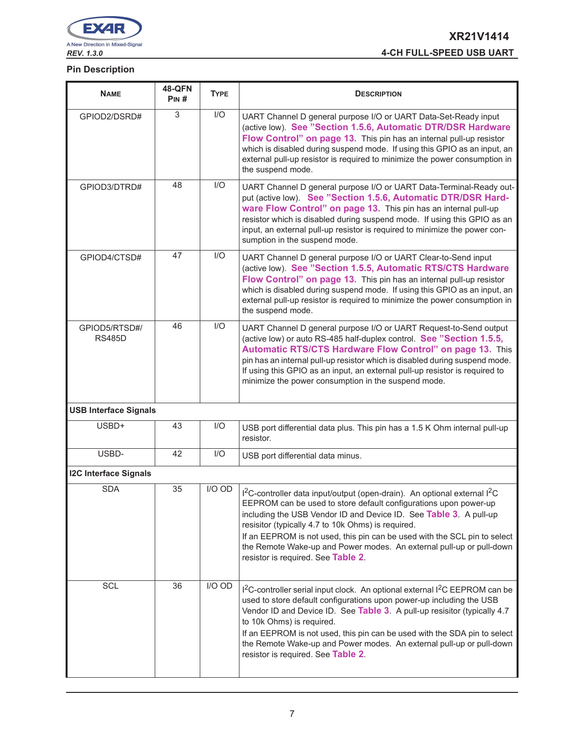

# **XR21V1414** *REV. 1.3.0* **4-CH FULL-SPEED USB UART**

| <b>NAME</b>                    | <b>48-QFN</b><br>PIN# | <b>TYPE</b> | <b>DESCRIPTION</b>                                                                                                                                                                                                                                                                                                                                                                                                                                                                          |  |  |  |  |  |
|--------------------------------|-----------------------|-------------|---------------------------------------------------------------------------------------------------------------------------------------------------------------------------------------------------------------------------------------------------------------------------------------------------------------------------------------------------------------------------------------------------------------------------------------------------------------------------------------------|--|--|--|--|--|
| GPIOD2/DSRD#                   | 3                     | I/O         | UART Channel D general purpose I/O or UART Data-Set-Ready input<br>(active low). See "Section 1.5.6, Automatic DTR/DSR Hardware<br>Flow Control" on page 13. This pin has an internal pull-up resistor<br>which is disabled during suspend mode. If using this GPIO as an input, an<br>external pull-up resistor is required to minimize the power consumption in<br>the suspend mode.                                                                                                      |  |  |  |  |  |
| GPIOD3/DTRD#                   | 48                    | 1/O         | UART Channel D general purpose I/O or UART Data-Terminal-Ready out-<br>put (active low). See "Section 1.5.6, Automatic DTR/DSR Hard-<br>ware Flow Control" on page 13. This pin has an internal pull-up<br>resistor which is disabled during suspend mode. If using this GPIO as an<br>input, an external pull-up resistor is required to minimize the power con-<br>sumption in the suspend mode.                                                                                          |  |  |  |  |  |
| GPIOD4/CTSD#                   | 47                    | 1/O         | UART Channel D general purpose I/O or UART Clear-to-Send input<br>(active low). See "Section 1.5.5, Automatic RTS/CTS Hardware<br>Flow Control" on page 13. This pin has an internal pull-up resistor<br>which is disabled during suspend mode. If using this GPIO as an input, an<br>external pull-up resistor is required to minimize the power consumption in<br>the suspend mode.                                                                                                       |  |  |  |  |  |
| GPIOD5/RTSD#/<br><b>RS485D</b> | 46                    | I/O         | UART Channel D general purpose I/O or UART Request-to-Send output<br>(active low) or auto RS-485 half-duplex control. See "Section 1.5.5,<br>Automatic RTS/CTS Hardware Flow Control" on page 13. This<br>pin has an internal pull-up resistor which is disabled during suspend mode.<br>If using this GPIO as an input, an external pull-up resistor is required to<br>minimize the power consumption in the suspend mode.                                                                 |  |  |  |  |  |
| <b>USB Interface Signals</b>   |                       |             |                                                                                                                                                                                                                                                                                                                                                                                                                                                                                             |  |  |  |  |  |
| USBD+                          | 43                    | I/O         | USB port differential data plus. This pin has a 1.5 K Ohm internal pull-up<br>resistor.                                                                                                                                                                                                                                                                                                                                                                                                     |  |  |  |  |  |
| USBD-                          | 42                    | I/O         | USB port differential data minus.                                                                                                                                                                                                                                                                                                                                                                                                                                                           |  |  |  |  |  |
| <b>I2C Interface Signals</b>   |                       |             |                                                                                                                                                                                                                                                                                                                                                                                                                                                                                             |  |  |  |  |  |
| <b>SDA</b>                     | 35                    | I/O OD      | I <sup>2</sup> C-controller data input/output (open-drain). An optional external I <sup>2</sup> C<br>EEPROM can be used to store default configurations upon power-up<br>including the USB Vendor ID and Device ID. See Table 3. A pull-up<br>resisitor (typically 4.7 to 10k Ohms) is required.<br>If an EEPROM is not used, this pin can be used with the SCL pin to select<br>the Remote Wake-up and Power modes. An external pull-up or pull-down<br>resistor is required. See Table 2. |  |  |  |  |  |
| SCL                            | 36                    | I/O OD      | $12C$ -controller serial input clock. An optional external $12C$ EEPROM can be<br>used to store default configurations upon power-up including the USB<br>Vendor ID and Device ID. See Table 3. A pull-up resisitor (typically 4.7<br>to 10k Ohms) is required.<br>If an EEPROM is not used, this pin can be used with the SDA pin to select<br>the Remote Wake-up and Power modes. An external pull-up or pull-down<br>resistor is required. See Table 2.                                  |  |  |  |  |  |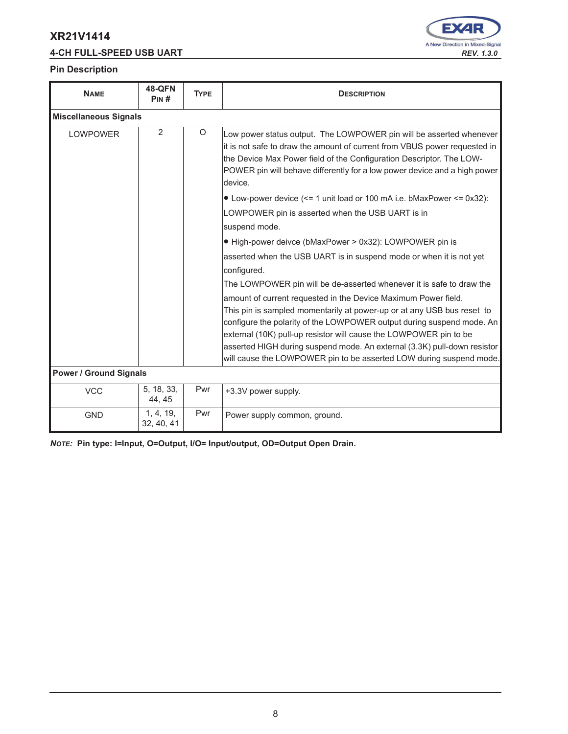# **4-CH FULL-SPEED USB UART** *REV. 1.3.0*



#### **Pin Description**

| <b>NAME</b>                   | <b>48-QFN</b><br>PIN#   | <b>TYPE</b> | <b>DESCRIPTION</b>                                                                                                                                                                                                                                                                                                                                                                                                                        |  |  |  |
|-------------------------------|-------------------------|-------------|-------------------------------------------------------------------------------------------------------------------------------------------------------------------------------------------------------------------------------------------------------------------------------------------------------------------------------------------------------------------------------------------------------------------------------------------|--|--|--|
| <b>Miscellaneous Signals</b>  |                         |             |                                                                                                                                                                                                                                                                                                                                                                                                                                           |  |  |  |
| <b>LOWPOWER</b>               | 2                       | $\circ$     | Low power status output. The LOWPOWER pin will be asserted whenever<br>it is not safe to draw the amount of current from VBUS power requested in<br>the Device Max Power field of the Configuration Descriptor. The LOW-<br>POWER pin will behave differently for a low power device and a high power<br>device.                                                                                                                          |  |  |  |
|                               |                         |             | • Low-power device (<= 1 unit load or 100 mA i.e. bMaxPower <= 0x32):                                                                                                                                                                                                                                                                                                                                                                     |  |  |  |
|                               |                         |             | LOWPOWER pin is asserted when the USB UART is in                                                                                                                                                                                                                                                                                                                                                                                          |  |  |  |
|                               |                         |             | suspend mode.                                                                                                                                                                                                                                                                                                                                                                                                                             |  |  |  |
|                               |                         |             | • High-power deivce (bMaxPower > 0x32): LOWPOWER pin is                                                                                                                                                                                                                                                                                                                                                                                   |  |  |  |
|                               |                         |             | asserted when the USB UART is in suspend mode or when it is not yet                                                                                                                                                                                                                                                                                                                                                                       |  |  |  |
|                               |                         |             | configured.                                                                                                                                                                                                                                                                                                                                                                                                                               |  |  |  |
|                               |                         |             | The LOWPOWER pin will be de-asserted whenever it is safe to draw the                                                                                                                                                                                                                                                                                                                                                                      |  |  |  |
|                               |                         |             | amount of current requested in the Device Maximum Power field.<br>This pin is sampled momentarily at power-up or at any USB bus reset to<br>configure the polarity of the LOWPOWER output during suspend mode. An<br>external (10K) pull-up resistor will cause the LOWPOWER pin to be<br>asserted HIGH during suspend mode. An external (3.3K) pull-down resistor<br>will cause the LOWPOWER pin to be asserted LOW during suspend mode. |  |  |  |
| <b>Power / Ground Signals</b> |                         |             |                                                                                                                                                                                                                                                                                                                                                                                                                                           |  |  |  |
| <b>VCC</b>                    | 5, 18, 33,<br>44, 45    | Pwr         | +3.3V power supply.                                                                                                                                                                                                                                                                                                                                                                                                                       |  |  |  |
| <b>GND</b>                    | 1, 4, 19,<br>32, 40, 41 | Pwr         | Power supply common, ground.                                                                                                                                                                                                                                                                                                                                                                                                              |  |  |  |

*NOTE:* **Pin type: I=Input, O=Output, I/O= Input/output, OD=Output Open Drain.**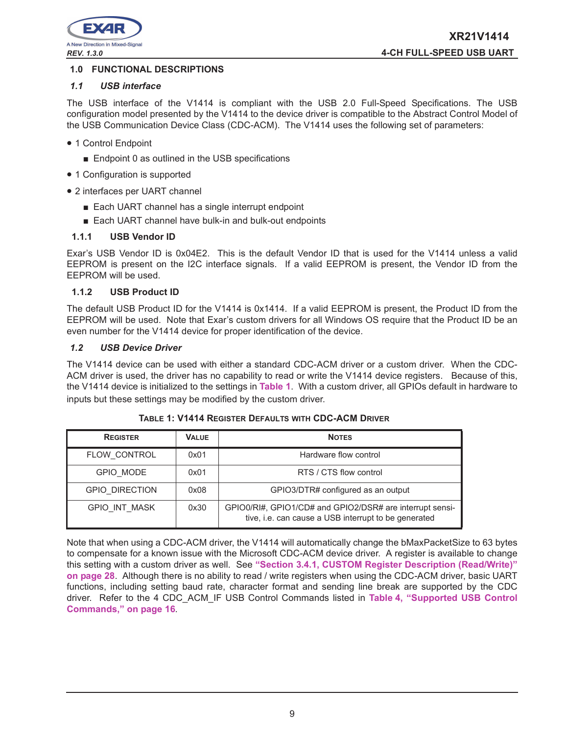

# **1.0 FUNCTIONAL DESCRIPTIONS**

## *1.1 USB interface*

The USB interface of the V1414 is compliant with the USB 2.0 Full-Speed Specifications. The USB configuration model presented by the V1414 to the device driver is compatible to the Abstract Control Model of the USB Communication Device Class (CDC-ACM). The V1414 uses the following set of parameters:

- 1 Control Endpoint
	- Endpoint 0 as outlined in the USB specifications
- 1 Configuration is supported
- 2 interfaces per UART channel
	- Each UART channel has a single interrupt endpoint
	- Each UART channel have bulk-in and bulk-out endpoints

#### **1.1.1 USB Vendor ID**

Exar's USB Vendor ID is 0x04E2. This is the default Vendor ID that is used for the V1414 unless a valid EEPROM is present on the I2C interface signals. If a valid EEPROM is present, the Vendor ID from the EEPROM will be used.

#### **1.1.2 USB Product ID**

The default USB Product ID for the V1414 is 0x1414. If a valid EEPROM is present, the Product ID from the EEPROM will be used. Note that Exar's custom drivers for all Windows OS require that the Product ID be an even number for the V1414 device for proper identification of the device.

#### *1.2 USB Device Driver*

The V1414 device can be used with either a standard CDC-ACM driver or a custom driver. When the CDC-ACM driver is used, the driver has no capability to read or write the V1414 device registers. Because of this, the V1414 device is initialized to the settings in **Table 1**. With a custom driver, all GPIOs default in hardware to inputs but these settings may be modified by the custom driver.

| <b>REGISTER</b>       | <b>VALUE</b> | <b>NOTES</b>                                                                                                     |
|-----------------------|--------------|------------------------------------------------------------------------------------------------------------------|
| FLOW CONTROL          | 0x01         | Hardware flow control                                                                                            |
| <b>GPIO MODE</b>      | 0x01         | RTS / CTS flow control                                                                                           |
| <b>GPIO DIRECTION</b> | 0x08         | GPIO3/DTR# configured as an output                                                                               |
| <b>GPIO INT MASK</b>  | 0x30         | GPIO0/RI#, GPIO1/CD# and GPIO2/DSR# are interrupt sensi-<br>tive, i.e. can cause a USB interrupt to be generated |

#### **TABLE 1: V1414 REGISTER DEFAULTS WITH CDC-ACM DRIVER**

Note that when using a CDC-ACM driver, the V1414 will automatically change the bMaxPacketSize to 63 bytes to compensate for a known issue with the Microsoft CDC-ACM device driver. A register is available to change this setting with a custom driver as well. See **"Section 3.4.1, CUSTOM Register Description (Read/Write)" on page 28**. Although there is no ability to read / write registers when using the CDC-ACM driver, basic UART functions, including setting baud rate, character format and sending line break are supported by the CDC driver. Refer to the 4 CDC\_ACM\_IF USB Control Commands listed in **Table 4, "Supported USB Control Commands," on page 16**.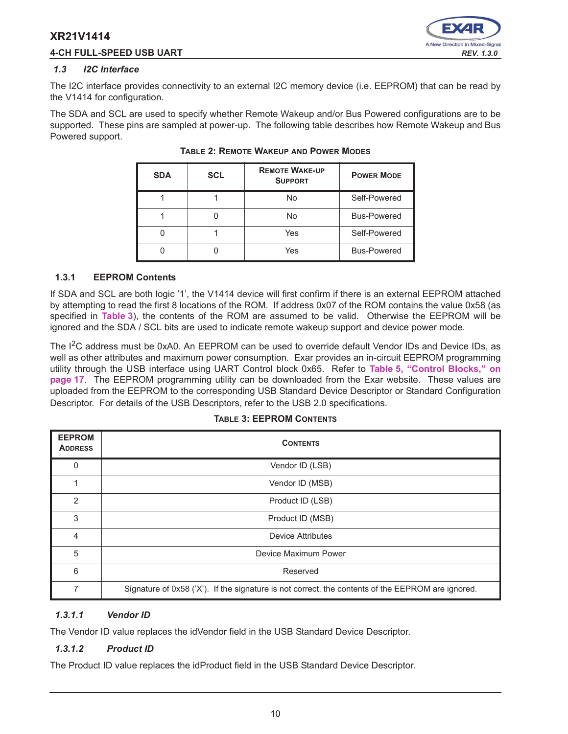# **4-CH FULL-SPEED USB UART** *REV. 1.3.0*



#### *1.3 I2C Interface*

The I2C interface provides connectivity to an external I2C memory device (i.e. EEPROM) that can be read by the V1414 for configuration.

The SDA and SCL are used to specify whether Remote Wakeup and/or Bus Powered configurations are to be supported. These pins are sampled at power-up. The following table describes how Remote Wakeup and Bus Powered support.

| <b>SDA</b> | <b>SCL</b> | <b>REMOTE WAKE-UP</b><br><b>SUPPORT</b> | <b>POWER MODE</b>  |
|------------|------------|-----------------------------------------|--------------------|
|            |            | No                                      | Self-Powered       |
|            |            | No                                      | <b>Bus-Powered</b> |
|            |            | Yes                                     | Self-Powered       |
|            |            | Yes                                     | <b>Bus-Powered</b> |

# **TABLE 2: REMOTE WAKEUP AND POWER MODES**

#### **1.3.1 EEPROM Contents**

If SDA and SCL are both logic '1', the V1414 device will first confirm if there is an external EEPROM attached by attempting to read the first 8 locations of the ROM. If address 0x07 of the ROM contains the value 0x58 (as specified in **Table 3**), the contents of the ROM are assumed to be valid. Otherwise the EEPROM will be ignored and the SDA / SCL bits are used to indicate remote wakeup support and device power mode.

The I<sup>2</sup>C address must be 0xA0. An EEPROM can be used to override default Vendor IDs and Device IDs, as well as other attributes and maximum power consumption. Exar provides an in-circuit EEPROM programming utility through the USB interface using UART Control block 0x65. Refer to **Table 5, "Control Blocks," on page 17**. The EEPROM programming utility can be downloaded from the Exar website. These values are uploaded from the EEPROM to the corresponding USB Standard Device Descriptor or Standard Configuration Descriptor. For details of the USB Descriptors, refer to the USB 2.0 specifications.

#### **TABLE 3: EEPROM CONTENTS**

| <b>EEPROM</b><br><b>ADDRESS</b> | <b>CONTENTS</b>                                                                                   |
|---------------------------------|---------------------------------------------------------------------------------------------------|
| 0                               | Vendor ID (LSB)                                                                                   |
| 1                               | Vendor ID (MSB)                                                                                   |
| $\overline{2}$                  | Product ID (LSB)                                                                                  |
| 3                               | Product ID (MSB)                                                                                  |
| 4                               | Device Attributes                                                                                 |
| 5                               | Device Maximum Power                                                                              |
| 6                               | Reserved                                                                                          |
| 7                               | Signature of 0x58 ('X'). If the signature is not correct, the contents of the EEPROM are ignored. |

# *1.3.1.1 Vendor ID*

The Vendor ID value replaces the idVendor field in the USB Standard Device Descriptor.

# *1.3.1.2 Product ID*

The Product ID value replaces the idProduct field in the USB Standard Device Descriptor.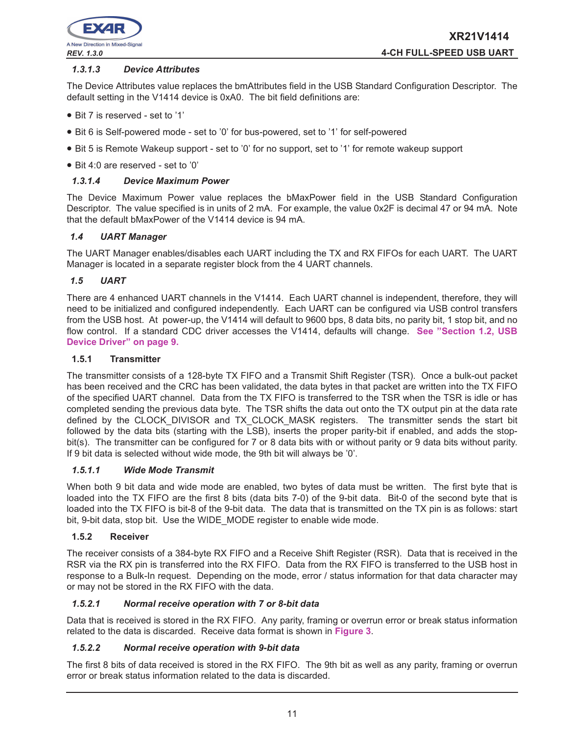

## *1.3.1.3 Device Attributes*

The Device Attributes value replaces the bmAttributes field in the USB Standard Configuration Descriptor. The default setting in the V1414 device is 0xA0. The bit field definitions are:

- Bit 7 is reserved set to '1'
- Bit 6 is Self-powered mode set to '0' for bus-powered, set to '1' for self-powered
- Bit 5 is Remote Wakeup support set to '0' for no support, set to '1' for remote wakeup support
- Bit 4:0 are reserved set to '0'

#### *1.3.1.4 Device Maximum Power*

The Device Maximum Power value replaces the bMaxPower field in the USB Standard Configuration Descriptor. The value specified is in units of 2 mA. For example, the value 0x2F is decimal 47 or 94 mA. Note that the default bMaxPower of the V1414 device is 94 mA.

#### *1.4 UART Manager*

The UART Manager enables/disables each UART including the TX and RX FIFOs for each UART. The UART Manager is located in a separate register block from the 4 UART channels.

#### *1.5 UART*

There are 4 enhanced UART channels in the V1414. Each UART channel is independent, therefore, they will need to be initialized and configured independently. Each UART can be configured via USB control transfers from the USB host. At power-up, the V1414 will default to 9600 bps, 8 data bits, no parity bit, 1 stop bit, and no flow control. If a standard CDC driver accesses the V1414, defaults will change. **See "Section 1.2, USB Device Driver" on page 9.**

## **1.5.1 Transmitter**

The transmitter consists of a 128-byte TX FIFO and a Transmit Shift Register (TSR). Once a bulk-out packet has been received and the CRC has been validated, the data bytes in that packet are written into the TX FIFO of the specified UART channel. Data from the TX FIFO is transferred to the TSR when the TSR is idle or has completed sending the previous data byte. The TSR shifts the data out onto the TX output pin at the data rate defined by the CLOCK DIVISOR and TX CLOCK MASK registers. The transmitter sends the start bit followed by the data bits (starting with the LSB), inserts the proper parity-bit if enabled, and adds the stopbit(s). The transmitter can be configured for 7 or 8 data bits with or without parity or 9 data bits without parity. If 9 bit data is selected without wide mode, the 9th bit will always be '0'.

#### *1.5.1.1 Wide Mode Transmit*

When both 9 bit data and wide mode are enabled, two bytes of data must be written. The first byte that is loaded into the TX FIFO are the first 8 bits (data bits 7-0) of the 9-bit data. Bit-0 of the second byte that is loaded into the TX FIFO is bit-8 of the 9-bit data. The data that is transmitted on the TX pin is as follows: start bit, 9-bit data, stop bit. Use the WIDE\_MODE register to enable wide mode.

#### **1.5.2 Receiver**

The receiver consists of a 384-byte RX FIFO and a Receive Shift Register (RSR). Data that is received in the RSR via the RX pin is transferred into the RX FIFO. Data from the RX FIFO is transferred to the USB host in response to a Bulk-In request. Depending on the mode, error / status information for that data character may or may not be stored in the RX FIFO with the data.

#### *1.5.2.1 Normal receive operation with 7 or 8-bit data*

Data that is received is stored in the RX FIFO. Any parity, framing or overrun error or break status information related to the data is discarded. Receive data format is shown in **Figure 3**.

#### *1.5.2.2 Normal receive operation with 9-bit data*

The first 8 bits of data received is stored in the RX FIFO. The 9th bit as well as any parity, framing or overrun error or break status information related to the data is discarded.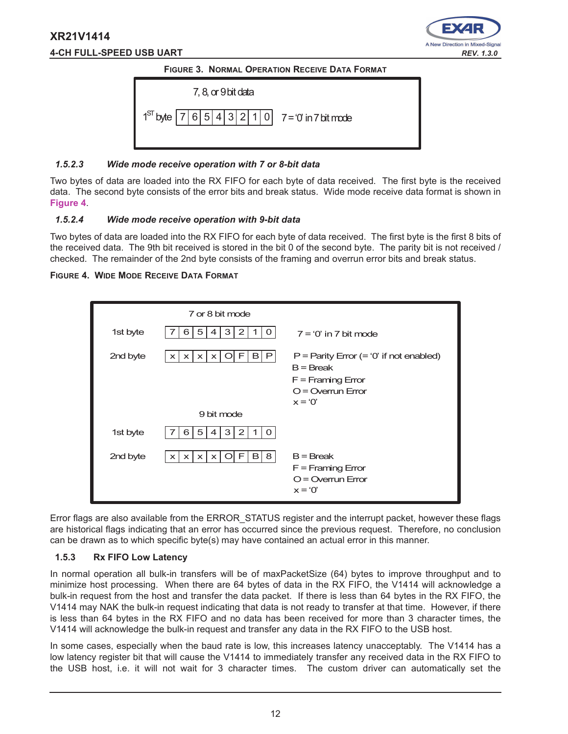# **XR21V1414 4-CH FULL-SPEED USB UART** *REV. 1.3.0*



# **FIGURE 3. NORMAL OPERATION RECEIVE DATA FORMAT**



#### *1.5.2.3 Wide mode receive operation with 7 or 8-bit data*

Two bytes of data are loaded into the RX FIFO for each byte of data received. The first byte is the received data. The second byte consists of the error bits and break status. Wide mode receive data format is shown in **Figure 4**.

# *1.5.2.4 Wide mode receive operation with 9-bit data*

Two bytes of data are loaded into the RX FIFO for each byte of data received. The first byte is the first 8 bits of the received data. The 9th bit received is stored in the bit 0 of the second byte. The parity bit is not received / checked. The remainder of the 2nd byte consists of the framing and overrun error bits and break status.

# **FIGURE 4. WIDE MODE RECEIVE DATA FORMAT**

|          | 7 or 8 bit mode                                                                                     |                                                                                                                      |
|----------|-----------------------------------------------------------------------------------------------------|----------------------------------------------------------------------------------------------------------------------|
| 1st byte | 5 <br>3 <sup>1</sup><br>$\overline{2}$<br>6<br>4<br>1<br>$\Omega$<br>7                              | $7 = '0'$ in 7 bit mode                                                                                              |
| 2nd byte | F<br>B P<br>$\vert x \vert$<br>$\vert x \vert$<br>$\Omega$<br>$\times$<br>$\boldsymbol{\mathsf{x}}$ | $P =$ Parity Error (= '0' if not enabled)<br>$B = B$ reak<br>$F =$ Framing Error<br>$O =$ Overrun Error<br>$x = '0'$ |
|          | 9 bit mode                                                                                          |                                                                                                                      |
| 1st byte | 5 <br>3<br>2<br>6<br>4<br>$\Omega$<br>1                                                             |                                                                                                                      |
| 2nd byte | F<br>B 8<br>$\vert x \vert$<br>$\Omega$<br>$\vert x \vert$<br>$\times$<br>$\boldsymbol{\mathsf{x}}$ | $B = B$ reak<br>$F =$ Framing Error<br>$O =$ Overrun Error<br>$x = 0'$                                               |

Error flags are also available from the ERROR\_STATUS register and the interrupt packet, however these flags are historical flags indicating that an error has occurred since the previous request. Therefore, no conclusion can be drawn as to which specific byte(s) may have contained an actual error in this manner.

# **1.5.3 Rx FIFO Low Latency**

In normal operation all bulk-in transfers will be of maxPacketSize (64) bytes to improve throughput and to minimize host processing. When there are 64 bytes of data in the RX FIFO, the V1414 will acknowledge a bulk-in request from the host and transfer the data packet. If there is less than 64 bytes in the RX FIFO, the V1414 may NAK the bulk-in request indicating that data is not ready to transfer at that time. However, if there is less than 64 bytes in the RX FIFO and no data has been received for more than 3 character times, the V1414 will acknowledge the bulk-in request and transfer any data in the RX FIFO to the USB host.

In some cases, especially when the baud rate is low, this increases latency unacceptably. The V1414 has a low latency register bit that will cause the V1414 to immediately transfer any received data in the RX FIFO to the USB host, i.e. it will not wait for 3 character times. The custom driver can automatically set the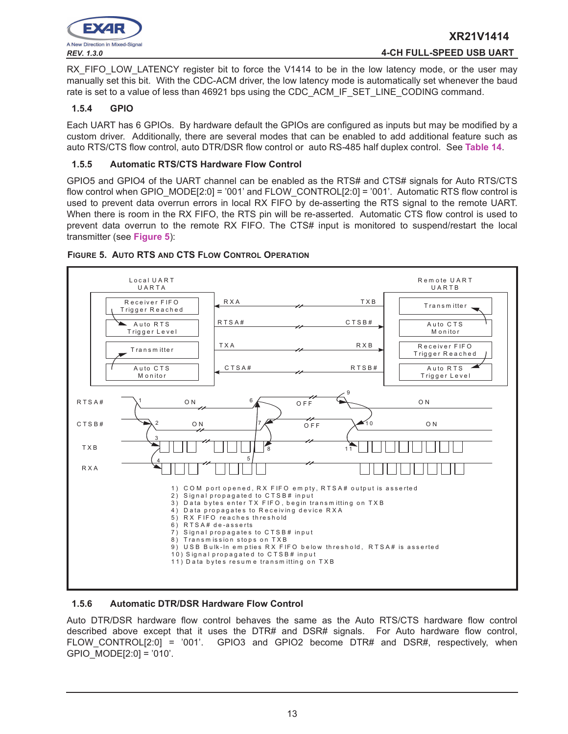

RX FIFO LOW LATENCY register bit to force the V1414 to be in the low latency mode, or the user may manually set this bit. With the CDC-ACM driver, the low latency mode is automatically set whenever the baud rate is set to a value of less than 46921 bps using the CDC\_ACM\_IF\_SET\_LINE\_CODING command.

# **1.5.4 GPIO**

Each UART has 6 GPIOs. By hardware default the GPIOs are configured as inputs but may be modified by a custom driver. Additionally, there are several modes that can be enabled to add additional feature such as auto RTS/CTS flow control, auto DTR/DSR flow control or auto RS-485 half duplex control. See **Table 14**.

# **1.5.5 Automatic RTS/CTS Hardware Flow Control**

GPIO5 and GPIO4 of the UART channel can be enabled as the RTS# and CTS# signals for Auto RTS/CTS flow control when GPIO  $MODE[2:0] = '001'$  and FLOW CONTROL[2:0] = '001'. Automatic RTS flow control is used to prevent data overrun errors in local RX FIFO by de-asserting the RTS signal to the remote UART. When there is room in the RX FIFO, the RTS pin will be re-asserted. Automatic CTS flow control is used to prevent data overrun to the remote RX FIFO. The CTS# input is monitored to suspend/restart the local transmitter (see **Figure 5**):



# **FIGURE 5. AUTO RTS AND CTS FLOW CONTROL OPERATION**

# **1.5.6 Automatic DTR/DSR Hardware Flow Control**

Auto DTR/DSR hardware flow control behaves the same as the Auto RTS/CTS hardware flow control described above except that it uses the DTR# and DSR# signals. For Auto hardware flow control, FLOW\_CONTROL[2:0] = '001'. GPIO3 and GPIO2 become DTR# and DSR#, respectively, when GPIO\_MODE[2:0] = '010'.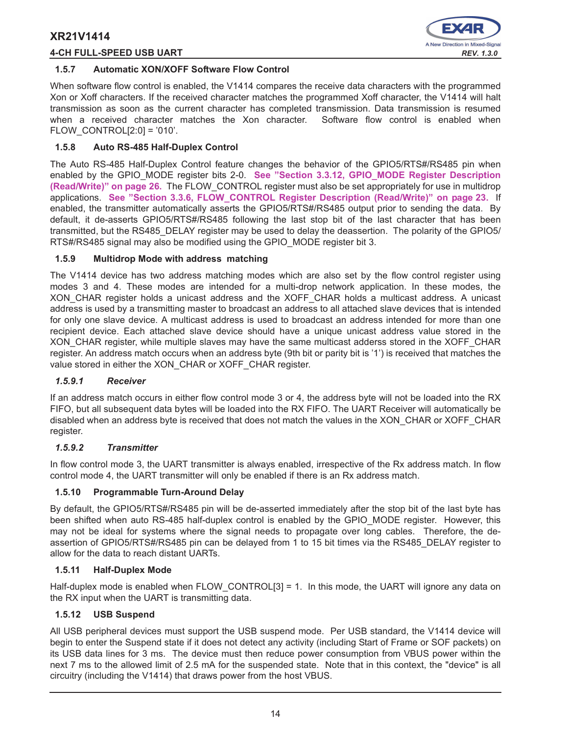# **4-CH FULL-SPEED USB UART** *REV. 1.3.0*



## **1.5.7 Automatic XON/XOFF Software Flow Control**

When software flow control is enabled, the V1414 compares the receive data characters with the programmed Xon or Xoff characters. If the received character matches the programmed Xoff character, the V1414 will halt transmission as soon as the current character has completed transmission. Data transmission is resumed when a received character matches the Xon character. Software flow control is enabled when FLOW CONTROL $[2:0] = '010'.$ 

# **1.5.8 Auto RS-485 Half-Duplex Control**

The Auto RS-485 Half-Duplex Control feature changes the behavior of the GPIO5/RTS#/RS485 pin when enabled by the GPIO\_MODE register bits 2-0. **See "Section 3.3.12, GPIO\_MODE Register Description (Read/Write)" on page 26.** The FLOW\_CONTROL register must also be set appropriately for use in multidrop applications. **See "Section 3.3.6, FLOW\_CONTROL Register Description (Read/Write)" on page 23.** If enabled, the transmitter automatically asserts the GPIO5/RTS#/RS485 output prior to sending the data. By default, it de-asserts GPIO5/RTS#/RS485 following the last stop bit of the last character that has been transmitted, but the RS485\_DELAY register may be used to delay the deassertion. The polarity of the GPIO5/ RTS#/RS485 signal may also be modified using the GPIO\_MODE register bit 3.

# **1.5.9 Multidrop Mode with address matching**

The V1414 device has two address matching modes which are also set by the flow control register using modes 3 and 4. These modes are intended for a multi-drop network application. In these modes, the XON CHAR register holds a unicast address and the XOFF CHAR holds a multicast address. A unicast address is used by a transmitting master to broadcast an address to all attached slave devices that is intended for only one slave device. A multicast address is used to broadcast an address intended for more than one recipient device. Each attached slave device should have a unique unicast address value stored in the XON CHAR register, while multiple slaves may have the same multicast adderss stored in the XOFF CHAR register. An address match occurs when an address byte (9th bit or parity bit is '1') is received that matches the value stored in either the XON\_CHAR or XOFF\_CHAR register.

# *1.5.9.1 Receiver*

If an address match occurs in either flow control mode 3 or 4, the address byte will not be loaded into the RX FIFO, but all subsequent data bytes will be loaded into the RX FIFO. The UART Receiver will automatically be disabled when an address byte is received that does not match the values in the XON\_CHAR or XOFF\_CHAR register.

# *1.5.9.2 Transmitter*

In flow control mode 3, the UART transmitter is always enabled, irrespective of the Rx address match. In flow control mode 4, the UART transmitter will only be enabled if there is an Rx address match.

# **1.5.10 Programmable Turn-Around Delay**

By default, the GPIO5/RTS#/RS485 pin will be de-asserted immediately after the stop bit of the last byte has been shifted when auto RS-485 half-duplex control is enabled by the GPIO\_MODE register. However, this may not be ideal for systems where the signal needs to propagate over long cables. Therefore, the deassertion of GPIO5/RTS#/RS485 pin can be delayed from 1 to 15 bit times via the RS485\_DELAY register to allow for the data to reach distant UARTs.

# **1.5.11 Half-Duplex Mode**

Half-duplex mode is enabled when FLOW CONTROL[3] = 1. In this mode, the UART will ignore any data on the RX input when the UART is transmitting data.

# **1.5.12 USB Suspend**

All USB peripheral devices must support the USB suspend mode. Per USB standard, the V1414 device will begin to enter the Suspend state if it does not detect any activity (including Start of Frame or SOF packets) on its USB data lines for 3 ms. The device must then reduce power consumption from VBUS power within the next 7 ms to the allowed limit of 2.5 mA for the suspended state. Note that in this context, the "device" is all circuitry (including the V1414) that draws power from the host VBUS.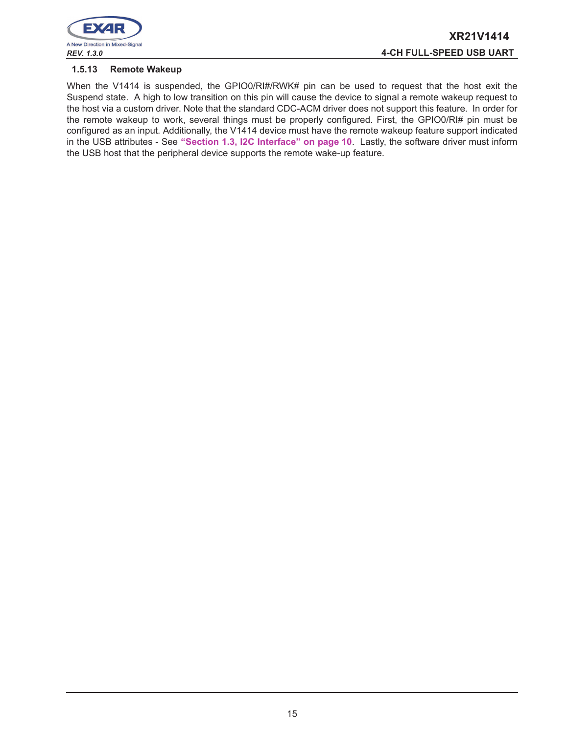

#### **1.5.13 Remote Wakeup**

When the V1414 is suspended, the GPIO0/RI#/RWK# pin can be used to request that the host exit the Suspend state. A high to low transition on this pin will cause the device to signal a remote wakeup request to the host via a custom driver. Note that the standard CDC-ACM driver does not support this feature. In order for the remote wakeup to work, several things must be properly configured. First, the GPIO0/RI# pin must be configured as an input. Additionally, the V1414 device must have the remote wakeup feature support indicated in the USB attributes - See **"Section 1.3, I2C Interface" on page 10**. Lastly, the software driver must inform the USB host that the peripheral device supports the remote wake-up feature.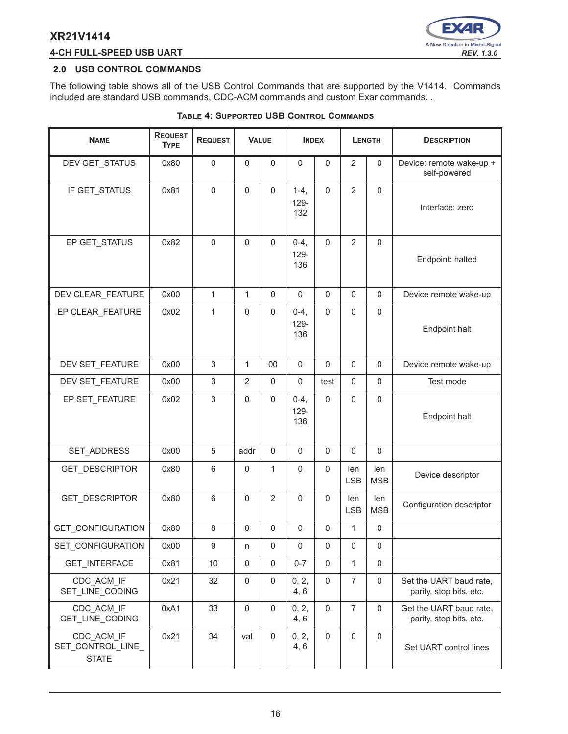# **4-CH FULL-SPEED USB UART** *REV. 1.3.0*



## **2.0 USB CONTROL COMMANDS**

J.

The following table shows all of the USB Control Commands that are supported by the V1414. Commands included are standard USB commands, CDC-ACM commands and custom Exar commands. .

| <b>NAME</b>                                     | <b>REQUEST</b><br><b>TYPE</b> | <b>REQUEST</b> | <b>VALUE</b>        |                | <b>INDEX</b>          |                     | <b>LENGTH</b>     |                     | <b>DESCRIPTION</b>                                 |
|-------------------------------------------------|-------------------------------|----------------|---------------------|----------------|-----------------------|---------------------|-------------------|---------------------|----------------------------------------------------|
| DEV GET_STATUS                                  | 0x80                          | $\pmb{0}$      | $\mathbf 0$         | 0              | $\mathsf 0$           | 0                   | $\overline{2}$    | $\mathbf 0$         | Device: remote wake-up +<br>self-powered           |
| IF GET_STATUS                                   | 0x81                          | $\mathbf 0$    | $\Omega$            | $\Omega$       | $1-4,$<br>129-<br>132 | $\mathbf 0$         | $\overline{2}$    | $\mathsf 0$         | Interface: zero                                    |
| EP GET_STATUS                                   | 0x82                          | $\overline{0}$ | $\mathsf 0$         | $\mathbf 0$    | $0-4,$<br>129-<br>136 | $\mathsf{O}\xspace$ | $\overline{2}$    | $\mathsf 0$         | Endpoint: halted                                   |
| DEV CLEAR_FEATURE                               | 0x00                          | $\mathbf{1}$   | $\mathbf{1}$        | $\Omega$       | $\mathbf 0$           | $\Omega$            | $\Omega$          | $\Omega$            | Device remote wake-up                              |
| EP CLEAR_FEATURE                                | 0x02                          | $\mathbf{1}$   | $\mathbf 0$         | $\Omega$       | $0-4,$<br>129-<br>136 | $\mathsf{O}\xspace$ | $\mathbf 0$       | $\mathsf 0$         | <b>Endpoint halt</b>                               |
| DEV SET_FEATURE                                 | 0x00                          | 3              | 1                   | 00             | $\mathbf 0$           | 0                   | $\pmb{0}$         | $\mathsf 0$         | Device remote wake-up                              |
| DEV SET_FEATURE                                 | 0x00                          | 3              | $\overline{2}$      | $\mathbf 0$    | $\mathsf 0$           | test                | $\mathbf 0$       | $\mathsf 0$         | Test mode                                          |
| EP SET_FEATURE                                  | 0x02                          | 3              | $\Omega$            | $\Omega$       | $0-4,$<br>129-<br>136 | $\pmb{0}$           | $\pmb{0}$         | $\mathbf 0$         | Endpoint halt                                      |
| SET_ADDRESS                                     | 0x00                          | 5              | addr                | $\mathbf 0$    | $\mathbf 0$           | 0                   | $\mathbf 0$       | $\mathsf 0$         |                                                    |
| GET_DESCRIPTOR                                  | 0x80                          | 6              | $\mathbf 0$         | 1              | $\mathsf 0$           | 0                   | len<br><b>LSB</b> | len<br><b>MSB</b>   | Device descriptor                                  |
| GET_DESCRIPTOR                                  | 0x80                          | 6              | $\mathsf 0$         | $\overline{2}$ | $\mathsf 0$           | $\mathbf 0$         | len<br><b>LSB</b> | len<br><b>MSB</b>   | Configuration descriptor                           |
| <b>GET CONFIGURATION</b>                        | 0x80                          | 8              | $\mathbf 0$         | 0              | $\mathsf 0$           | $\mathbf 0$         | $\mathbf{1}$      | $\mathbf 0$         |                                                    |
| SET_CONFIGURATION                               | 0x00                          | 9              | n                   | 0              | 0                     | $\mathsf 0$         | $\mathsf 0$       | $\mathsf{O}\xspace$ |                                                    |
| GET_INTERFACE                                   | 0x81                          | 10             | $\mathbf 0$         | 0              | $0 - 7$               | 0                   | $\mathbf{1}$      | $\pmb{0}$           |                                                    |
| CDC ACM IF<br>SET_LINE_CODING                   | 0x21                          | 32             | 0                   | 0              | 0, 2,<br>4, 6         | 0                   | $\overline{7}$    | $\mathsf{O}\xspace$ | Set the UART baud rate,<br>parity, stop bits, etc. |
| CDC_ACM_IF<br>GET_LINE_CODING                   | 0xA1                          | 33             | $\mathsf{O}\xspace$ | $\mathsf 0$    | 0, 2,<br>4, 6         | $\mathsf{O}\xspace$ | $\overline{7}$    | $\mathsf{O}\xspace$ | Get the UART baud rate,<br>parity, stop bits, etc. |
| CDC ACM IF<br>SET_CONTROL_LINE_<br><b>STATE</b> | 0x21                          | 34             | val                 | $\mathbf 0$    | 0, 2,<br>4, 6         | $\mathsf{O}\xspace$ | $\mathsf 0$       | $\mathbf 0$         | Set UART control lines                             |

## **TABLE 4: SUPPORTED USB CONTROL COMMANDS**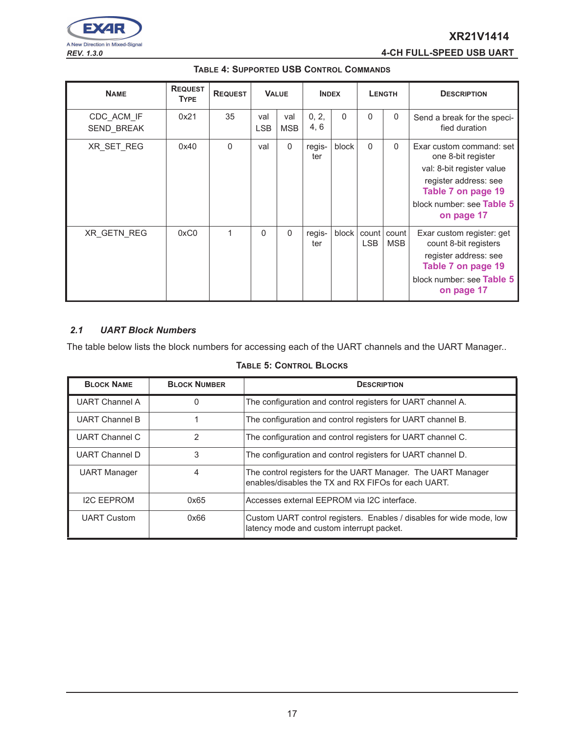

*REV. 1.3.0* **4-CH FULL-SPEED USB UART**

| <b>NAME</b>                     | <b>REQUEST</b><br><b>TYPE</b> | <b>REQUEST</b> |                   | <b>VALUE</b>      |               | <b>INDEX</b> |                     | <b>LENGTH</b>       | <b>DESCRIPTION</b>                                                                                                                                                    |
|---------------------------------|-------------------------------|----------------|-------------------|-------------------|---------------|--------------|---------------------|---------------------|-----------------------------------------------------------------------------------------------------------------------------------------------------------------------|
| CDC ACM IF<br><b>SEND BREAK</b> | 0x21                          | 35             | val<br><b>LSB</b> | val<br><b>MSB</b> | 0, 2,<br>4, 6 | $\Omega$     | $\Omega$            | $\Omega$            | Send a break for the speci-<br>fied duration                                                                                                                          |
| XR SET REG                      | 0x40                          | $\Omega$       | val               | $\mathbf{0}$      | regis-<br>ter | block        | $\Omega$            | $\Omega$            | Exar custom command: set<br>one 8-bit register<br>val: 8-bit register value<br>register address: see<br>Table 7 on page 19<br>block number: see Table 5<br>on page 17 |
| XR_GETN_REG                     | 0xC0                          | 1              | $\Omega$          | $\mathbf{0}$      | regis-<br>ter | block        | count<br><b>LSB</b> | count<br><b>MSB</b> | Exar custom register: get<br>count 8-bit registers<br>register address: see<br>Table 7 on page 19<br>block number: see Table 5<br>on page 17                          |

# **TABLE 4: SUPPORTED USB CONTROL COMMANDS**

# *2.1 UART Block Numbers*

The table below lists the block numbers for accessing each of the UART channels and the UART Manager..

## **TABLE 5: CONTROL BLOCKS**

| <b>BLOCK NAME</b>     | <b>BLOCK NUMBER</b> | <b>DESCRIPTION</b>                                                                                                  |
|-----------------------|---------------------|---------------------------------------------------------------------------------------------------------------------|
| <b>UART Channel A</b> | 0                   | The configuration and control registers for UART channel A.                                                         |
| <b>UART Channel B</b> |                     | The configuration and control registers for UART channel B.                                                         |
| <b>UART Channel C</b> | $\overline{2}$      | The configuration and control registers for UART channel C.                                                         |
| UART Channel D        | 3                   | The configuration and control registers for UART channel D.                                                         |
| <b>UART Manager</b>   | 4                   | The control registers for the UART Manager. The UART Manager<br>enables/disables the TX and RX FIFOs for each UART. |
| <b>I2C FEPROM</b>     | 0x65                | l Accesses external EEPROM via I2C interface.                                                                       |
| <b>UART Custom</b>    | 0x66                | Custom UART control registers. Enables / disables for wide mode, low<br>latency mode and custom interrupt packet.   |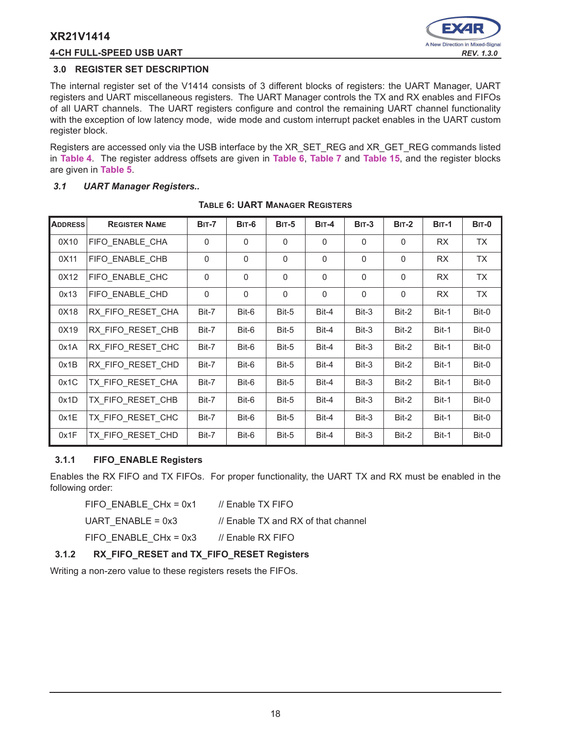# **4-CH FULL-SPEED USB UART** *REV. 1.3.0*



# **3.0 REGISTER SET DESCRIPTION**

The internal register set of the V1414 consists of 3 different blocks of registers: the UART Manager, UART registers and UART miscellaneous registers. The UART Manager controls the TX and RX enables and FIFOs of all UART channels. The UART registers configure and control the remaining UART channel functionality with the exception of low latency mode, wide mode and custom interrupt packet enables in the UART custom register block.

Registers are accessed only via the USB interface by the XR\_SET\_REG and XR\_GET\_REG commands listed in **Table 4**. The register address offsets are given in **Table 6**, **Table 7** and **Table 15**, and the register blocks are given in **Table 5**.

# *3.1 UART Manager Registers..*

| <b>ADDRESS</b> | <b>REGISTER NAME</b> | <b>BIT-7</b> | <b>BIT-6</b> | $BIT-5$      | $BIT-4$  | $BIT-3$      | $BIT-2$  | <b>BIT-1</b> | BIT-0     |
|----------------|----------------------|--------------|--------------|--------------|----------|--------------|----------|--------------|-----------|
| 0X10           | FIFO ENABLE CHA      | $\Omega$     | $\Omega$     | $\Omega$     | $\Omega$ | $\Omega$     | 0        | RX           | TX        |
| 0X11           | FIFO ENABLE CHB      | $\Omega$     | $\Omega$     | $\Omega$     | $\Omega$ | $\Omega$     | 0        | <b>RX</b>    | <b>TX</b> |
| 0X12           | FIFO ENABLE CHC      | $\Omega$     | $\Omega$     | $\Omega$     | $\Omega$ | $\Omega$     | $\Omega$ | <b>RX</b>    | TX        |
| 0x13           | FIFO ENABLE CHD      | $\Omega$     | $\Omega$     | $\mathbf{0}$ | $\Omega$ | $\mathbf{0}$ | $\Omega$ | RX           | <b>TX</b> |
| 0X18           | RX FIFO RESET CHA    | Bit-7        | Bit-6        | Bit-5        | Bit-4    | Bit-3        | Bit-2    | Bit-1        | Bit-0     |
| 0X19           | RX FIFO RESET CHB    | Bit-7        | Bit-6        | Bit-5        | Bit-4    | Bit-3        | Bit-2    | Bit-1        | Bit-0     |
| 0x1A           | RX FIFO_RESET_CHC    | Bit-7        | Bit-6        | Bit-5        | Bit-4    | Bit-3        | Bit-2    | Bit-1        | Bit-0     |
| 0x1B           | RX FIFO_RESET_CHD    | Bit-7        | Bit-6        | Bit-5        | Bit-4    | Bit-3        | Bit-2    | Bit-1        | Bit-0     |
| 0x1C           | TX FIFO RESET CHA    | Bit-7        | Bit-6        | Bit-5        | Bit-4    | Bit-3        | Bit-2    | Bit-1        | Bit-0     |
| 0x1D           | TX FIFO RESET CHB    | Bit-7        | Bit-6        | Bit-5        | Bit-4    | Bit-3        | Bit-2    | Bit-1        | Bit-0     |
| 0x1E           | TX FIFO RESET CHC    | Bit-7        | Bit-6        | Bit-5        | Bit-4    | Bit-3        | Bit-2    | Bit-1        | Bit-0     |
| 0x1F           | TX FIFO RESET CHD    | Bit-7        | Bit-6        | Bit-5        | Bit-4    | Bit-3        | Bit-2    | Bit-1        | Bit-0     |

#### **TABLE 6: UART MANAGER REGISTERS**

# **3.1.1 FIFO\_ENABLE Registers**

Enables the RX FIFO and TX FIFOs. For proper functionality, the UART TX and RX must be enabled in the following order:

FIFO\_ENABLE\_CHx = 0x1 // Enable TX FIFO

UART ENABLE =  $0x3$  // Enable TX and RX of that channel

FIFO ENABLE CHx =  $0x3$  // Enable RX FIFO

**3.1.2 RX\_FIFO\_RESET and TX\_FIFO\_RESET Registers**

Writing a non-zero value to these registers resets the FIFOs.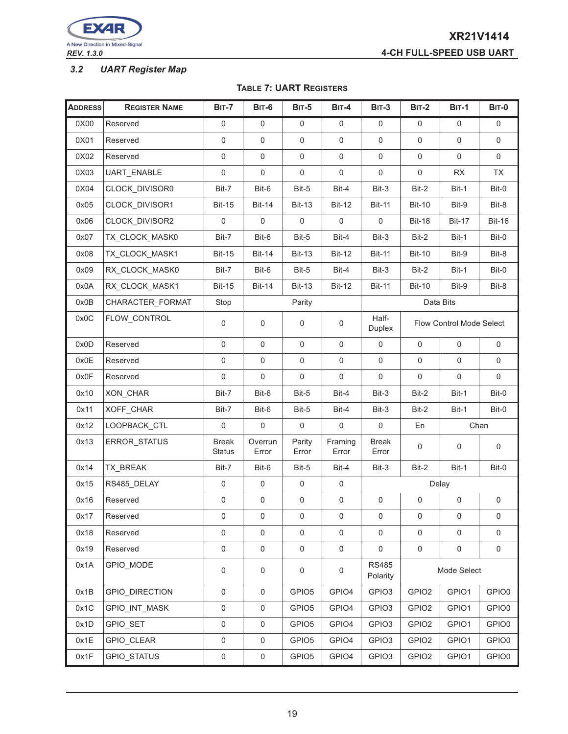

# *3.2 UART Register Map*

#### **TABLE 7: UART REGISTERS**

| <b>ADDRESS</b> | <b>REGISTER NAME</b> | <b>BIT-7</b>                  | <b>BIT-6</b>        | <b>BIT-5</b>        | BIT-4            | <b>BIT-3</b>                                                             | <b>BIT-2</b>      | <b>BIT-1</b>        | <b>BIT-0</b>        |
|----------------|----------------------|-------------------------------|---------------------|---------------------|------------------|--------------------------------------------------------------------------|-------------------|---------------------|---------------------|
| 0X00           | Reserved             | 0                             | 0                   | 0                   | $\mathbf 0$      | 0                                                                        | 0                 | $\mathbf 0$         | $\mathbf 0$         |
| 0X01           | Reserved             | 0                             | $\pmb{0}$           | 0                   | $\mathsf 0$      | $\pmb{0}$                                                                | $\mathsf 0$       | $\mathbf 0$         | 0                   |
| 0X02           | Reserved             | $\pmb{0}$                     | $\pmb{0}$           | 0                   | $\mathbf 0$      | $\mathsf 0$                                                              | 0                 | $\mathbf 0$         | $\pmb{0}$           |
| 0X03           | UART_ENABLE          | $\pmb{0}$                     | 0                   | 0                   | $\mathbf 0$      | 0                                                                        | 0                 | <b>RX</b>           | TX                  |
| 0X04           | CLOCK DIVISOR0       | Bit-7                         | Bit-6               | Bit-5               | Bit-4            | Bit-3                                                                    | Bit-2             | Bit-1               | Bit-0               |
| 0x05           | CLOCK_DIVISOR1       | <b>Bit-15</b>                 | <b>Bit-14</b>       | <b>Bit-13</b>       | <b>Bit-12</b>    | <b>Bit-11</b>                                                            | <b>Bit-10</b>     | Bit-9               | Bit-8               |
| 0x06           | CLOCK_DIVISOR2       | $\mathsf 0$                   | $\mathbf 0$         | $\mathbf 0$         | $\mathsf 0$      | $\mathbf 0$                                                              | <b>Bit-18</b>     | <b>Bit-17</b>       | <b>Bit-16</b>       |
| 0x07           | TX_CLOCK_MASK0       | Bit-7                         | Bit-6               | Bit-5               | Bit-4            | Bit-3                                                                    | Bit-2             | Bit-1               | Bit-0               |
| 0x08           | TX_CLOCK_MASK1       | <b>Bit-15</b>                 | <b>Bit-14</b>       | <b>Bit-13</b>       | <b>Bit-12</b>    | <b>Bit-11</b>                                                            | <b>Bit-10</b>     | Bit-9               | Bit-8               |
| 0x09           | RX_CLOCK_MASK0       | Bit-7                         | Bit-6               | Bit-5               | Bit-4            | Bit-3                                                                    | Bit-2             | Bit-1               | Bit-0               |
| 0x0A           | RX_CLOCK_MASK1       | <b>Bit-15</b>                 | <b>Bit-14</b>       | <b>Bit-13</b>       | <b>Bit-12</b>    | <b>Bit-11</b>                                                            | <b>Bit-10</b>     | Bit-9               | Bit-8               |
| 0x0B           | CHARACTER_FORMAT     | Stop                          |                     | Parity              |                  |                                                                          |                   | Data Bits           |                     |
| 0x0C           | FLOW_CONTROL         | $\pmb{0}$                     | 0                   | 0                   | $\mathsf 0$      | Half-<br><b>Flow Control Mode Select</b><br><b>Duplex</b>                |                   |                     |                     |
| 0x0D           | Reserved             | $\pmb{0}$                     | $\mathbf 0$         | $\mathbf 0$         | $\mathbf 0$      | $\pmb{0}$                                                                | 0                 | 0                   | 0                   |
| 0x0E           | Reserved             | $\pmb{0}$                     | $\mathbf 0$         | $\mathbf 0$         | $\mathbf 0$      | $\mathbf 0$                                                              | $\mathbf 0$       | $\mathsf{O}$        | $\mathbf 0$         |
| 0x0F           | Reserved             | 0                             | $\mathbf 0$         | 0                   | $\mathsf 0$      | $\mathbf 0$                                                              | 0                 | $\mathsf{O}$        | $\mathbf 0$         |
| 0x10           | XON_CHAR             | Bit-7                         | Bit-6               | Bit-5               | Bit-4            | Bit-3                                                                    | Bit-2             | Bit-1               | Bit-0               |
| 0x11           | XOFF_CHAR            | Bit-7                         | Bit-6               | Bit-5               | Bit-4            | Bit-3                                                                    | Bit-2             | Bit-1               | Bit-0               |
| 0x12           | LOOPBACK_CTL         | $\mathbf 0$                   | $\mathbf 0$         | $\mathsf 0$         | $\mathbf 0$      | $\mathbf 0$                                                              | En                |                     | Chan                |
| 0x13           | ERROR_STATUS         | <b>Break</b><br><b>Status</b> | Overrun<br>Error    | Parity<br>Error     | Framing<br>Error | <b>Break</b><br>$\mathsf 0$<br>$\pmb{0}$<br>$\mathsf{O}\xspace$<br>Error |                   |                     |                     |
| 0x14           | TX_BREAK             | Bit-7                         | Bit-6               | Bit-5               | Bit-4            | Bit-3                                                                    | Bit-2             | Bit-1               | Bit-0               |
| 0x15           | RS485_DELAY          | 0                             | $\mathbf 0$         | 0                   | 0                |                                                                          |                   | Delay               |                     |
| 0x16           | Reserved             | $\mathsf 0$                   | 0                   | $\mathsf{0}$        | $\mathsf 0$      | $\mathsf 0$                                                              | $\pmb{0}$         | 0                   | $\mathsf 0$         |
| 0x17           | Reserved             | 0                             | 0                   | 0                   | 0                | $\pmb{0}$                                                                | 0                 | $\pmb{0}$           | $\mathbf 0$         |
| 0x18           | Reserved             | $\mathsf{O}\xspace$           | $\mathbf 0$         | $\mathsf{O}\xspace$ | $\mathsf 0$      | $\pmb{0}$                                                                | $\mathbf 0$       | $\mathsf{O}$        | 0                   |
| 0x19           | Reserved             | $\mathsf{O}\xspace$           | $\mathsf{O}\xspace$ | $\mathsf{O}\xspace$ | $\mathsf 0$      | $\pmb{0}$                                                                | $\mathsf 0$       | $\mathsf{O}\xspace$ | $\mathsf{O}\xspace$ |
| 0x1A           | GPIO_MODE            | 0                             | 0                   | 0                   | 0                | <b>RS485</b><br>Mode Select<br>Polarity                                  |                   |                     |                     |
| 0x1B           | GPIO_DIRECTION       | $\mathsf{O}\xspace$           | $\mathsf{O}\xspace$ | GPIO <sub>5</sub>   | GPIO4            | GPIO <sub>3</sub>                                                        | GPIO <sub>2</sub> | GPIO1               | GPIO0               |
| 0x1C           | GPIO_INT_MASK        | 0                             | $\pmb{0}$           | GPIO <sub>5</sub>   | GPIO4            | GPIO3                                                                    | GPIO <sub>2</sub> | GPIO1               | GPIO0               |
| 0x1D           | GPIO_SET             | $\mathsf 0$                   | $\pmb{0}$           | GPIO <sub>5</sub>   | GPIO4            | GPIO <sub>3</sub>                                                        | GPIO <sub>2</sub> | GPIO1               | GPIO0               |
| 0x1E           | GPIO_CLEAR           | 0                             | $\mathsf 0$         | GPIO <sub>5</sub>   | GPIO4            | GPIO <sub>3</sub>                                                        | GPIO <sub>2</sub> | GPIO1               | GPIO0               |
| 0x1F           | GPIO_STATUS          | $\mathsf{O}\xspace$           | $\pmb{0}$           | GPIO <sub>5</sub>   | GPIO4            | GPIO <sub>3</sub>                                                        | GPIO <sub>2</sub> | GPIO1               | GPIO0               |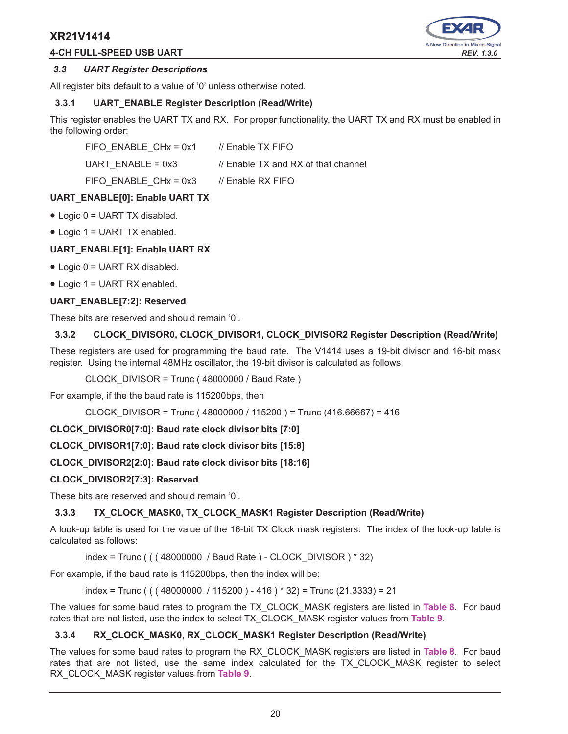# **4-CH FULL-SPEED USB UART** *REV. 1.3.0*



## *3.3 UART Register Descriptions*

All register bits default to a value of '0' unless otherwise noted.

# **3.3.1 UART\_ENABLE Register Description (Read/Write)**

This register enables the UART TX and RX. For proper functionality, the UART TX and RX must be enabled in the following order:

FIFO\_ENABLE\_CHx = 0x1 // Enable TX FIFO UART ENABLE =  $0x3$  // Enable TX and RX of that channel FIFO ENABLE  $CHx = 0x3$  // Enable RX FIFO

# **UART\_ENABLE[0]: Enable UART TX**

- Logic 0 = UART TX disabled.
- Logic 1 = UART TX enabled.

# **UART\_ENABLE[1]: Enable UART RX**

- Logic 0 = UART RX disabled.
- Logic 1 = UART RX enabled.

#### **UART\_ENABLE[7:2]: Reserved**

These bits are reserved and should remain '0'.

#### **3.3.2 CLOCK\_DIVISOR0, CLOCK\_DIVISOR1, CLOCK\_DIVISOR2 Register Description (Read/Write)**

These registers are used for programming the baud rate. The V1414 uses a 19-bit divisor and 16-bit mask register. Using the internal 48MHz oscillator, the 19-bit divisor is calculated as follows:

CLOCK\_DIVISOR = Trunc ( 48000000 / Baud Rate )

For example, if the the baud rate is 115200bps, then

CLOCK\_DIVISOR = Trunc ( 48000000 / 115200 ) = Trunc (416.66667) = 416

**CLOCK\_DIVISOR0[7:0]: Baud rate clock divisor bits [7:0]** 

**CLOCK\_DIVISOR1[7:0]: Baud rate clock divisor bits [15:8]**

**CLOCK\_DIVISOR2[2:0]: Baud rate clock divisor bits [18:16]**

## **CLOCK\_DIVISOR2[7:3]: Reserved**

These bits are reserved and should remain '0'.

#### **3.3.3 TX\_CLOCK\_MASK0, TX\_CLOCK\_MASK1 Register Description (Read/Write)**

A look-up table is used for the value of the 16-bit TX Clock mask registers. The index of the look-up table is calculated as follows:

index = Trunc ( ( ( 48000000 / Baud Rate ) - CLOCK\_DIVISOR ) \* 32)

For example, if the baud rate is 115200bps, then the index will be:

index = Trunc ( (  $(48000000 / 115200) - 416$  ) \* 32) = Trunc (21.3333) = 21

The values for some baud rates to program the TX\_CLOCK\_MASK registers are listed in **Table 8**. For baud rates that are not listed, use the index to select TX\_CLOCK\_MASK register values from **Table 9**.

#### **3.3.4 RX\_CLOCK\_MASK0, RX\_CLOCK\_MASK1 Register Description (Read/Write)**

The values for some baud rates to program the RX\_CLOCK\_MASK registers are listed in **Table 8**. For baud rates that are not listed, use the same index calculated for the TX CLOCK MASK register to select RX\_CLOCK\_MASK register values from **Table 9**.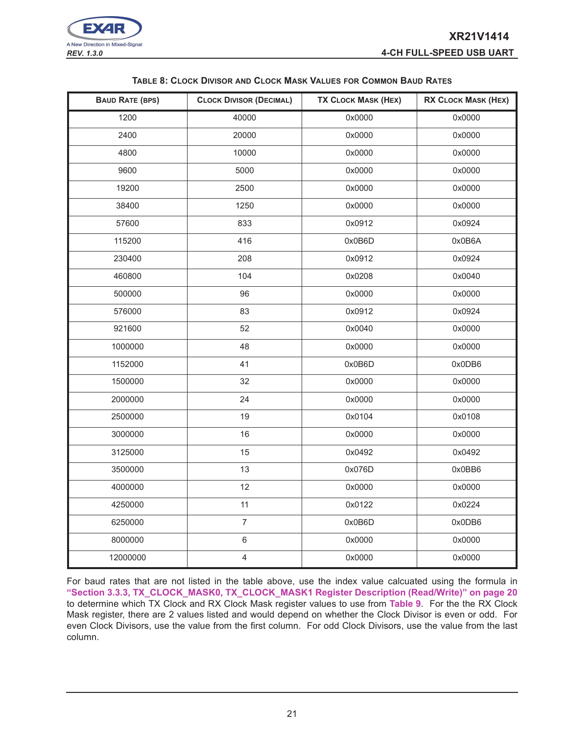

| <b>TABLE 8: CLOCK DIVISOR AND CLOCK MASK VALUES FOR COMMON BAUD RATES</b> |  |  |
|---------------------------------------------------------------------------|--|--|
|---------------------------------------------------------------------------|--|--|

| <b>BAUD RATE (BPS)</b> | <b>CLOCK DIVISOR (DECIMAL)</b> | <b>TX CLOCK MASK (HEX)</b> | <b>RX CLOCK MASK (HEX)</b> |
|------------------------|--------------------------------|----------------------------|----------------------------|
| 1200                   | 40000                          | 0x0000                     | 0x0000                     |
| 2400                   | 20000                          | 0x0000                     | 0x0000                     |
| 4800                   | 10000                          | 0x0000                     | 0x0000                     |
| 9600                   | 5000                           | 0x0000                     | 0x0000                     |
| 19200                  | 2500                           | 0x0000                     | 0x0000                     |
| 38400                  | 1250                           | 0x0000                     | 0x0000                     |
| 57600                  | 833                            | 0x0912                     | 0x0924                     |
| 115200                 | 416                            | 0x0B6D                     | 0x0B6A                     |
| 230400                 | 208                            | 0x0912                     | 0x0924                     |
| 460800                 | 104                            | 0x0208                     | 0x0040                     |
| 500000                 | 96                             | 0x0000                     | 0x0000                     |
| 576000                 | 83                             | 0x0912                     | 0x0924                     |
| 921600                 | 52                             | 0x0040                     | 0x0000                     |
| 1000000                | 48                             | 0x0000                     | 0x0000                     |
| 1152000                | 41                             | 0x0B6D                     | 0x0DB6                     |
| 1500000                | 32                             | 0x0000                     | 0x0000                     |
| 2000000                | 24                             | 0x0000                     | 0x0000                     |
| 2500000                | 19                             | 0x0104                     | 0x0108                     |
| 3000000                | 16                             | 0x0000                     | 0x0000                     |
| 3125000                | 15                             | 0x0492                     | 0x0492                     |
| 3500000                | 13                             | 0x076D                     | 0x0BB6                     |
| 4000000                | 12                             | 0x0000                     | 0x0000                     |
| 4250000                | 11                             | 0x0122                     | 0x0224                     |
| 6250000                | $\overline{7}$                 | 0x0B6D                     | 0x0DB6                     |
| 8000000                | 6                              | 0x0000                     | 0x0000                     |
| 12000000               | 4                              | 0x0000                     | 0x0000                     |

For baud rates that are not listed in the table above, use the index value calcuated using the formula in **"Section 3.3.3, TX\_CLOCK\_MASK0, TX\_CLOCK\_MASK1 Register Description (Read/Write)" on page 20** to determine which TX Clock and RX Clock Mask register values to use from **Table 9**. For the the RX Clock Mask register, there are 2 values listed and would depend on whether the Clock Divisor is even or odd. For even Clock Divisors, use the value from the first column. For odd Clock Divisors, use the value from the last column.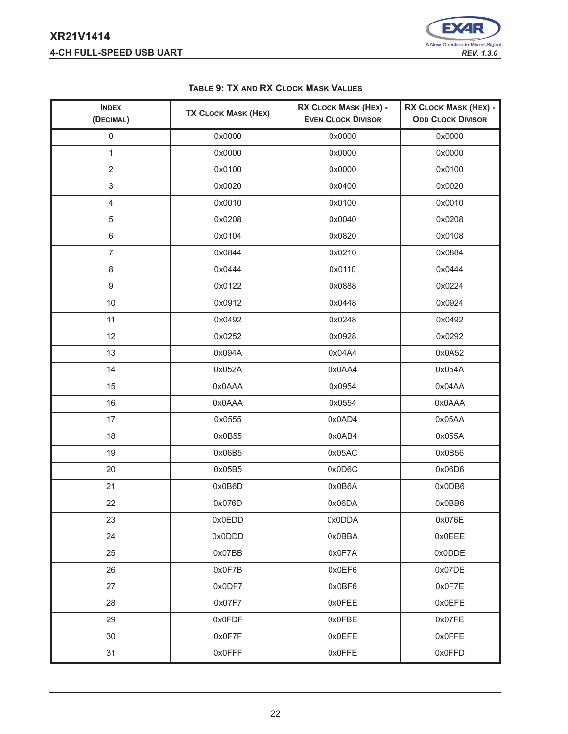# **XR21V1414 4-CH FULL-SPEED USB UART** *REV. 1.3.0*



| <b>INDEX</b><br>(DECIMAL) | <b>TX CLOCK MASK (HEX)</b> | RX CLOCK MASK (HEX) -<br><b>EVEN CLOCK DIVISOR</b> | RX CLOCK MASK (HEX) -<br><b>ODD CLOCK DIVISOR</b> |
|---------------------------|----------------------------|----------------------------------------------------|---------------------------------------------------|
| $\mathsf{O}\xspace$       | 0x0000                     | 0x0000                                             | 0x0000                                            |
| $\mathbf{1}$              | 0x0000                     | 0x0000                                             | 0x0000                                            |
| $\overline{2}$            | 0x0100                     | 0x0000                                             | 0x0100                                            |
| $\mathsf 3$               | 0x0020                     | 0x0400                                             | 0x0020                                            |
| $\overline{4}$            | 0x0010                     | 0x0100                                             | 0x0010                                            |
| 5                         | 0x0208                     | 0x0040                                             | 0x0208                                            |
| 6                         | 0x0104                     | 0x0820                                             | 0x0108                                            |
| $\overline{7}$            | 0x0844                     | 0x0210                                             | 0x0884                                            |
| 8                         | 0x0444                     | 0x0110                                             | 0x0444                                            |
| 9                         | 0x0122                     | 0x0888                                             | 0x0224                                            |
| 10                        | 0x0912                     | 0x0448                                             | 0x0924                                            |
| 11                        | 0x0492                     | 0x0248                                             | 0x0492                                            |
| 12                        | 0x0252                     | 0x0928                                             | 0x0292                                            |
| 13                        | 0x094A                     | 0x04A4                                             | 0x0A52                                            |
| 14                        | 0x052A                     | 0x0AA4                                             | 0x054A                                            |
| 15                        | AAA0x0                     | 0x0954                                             | 0x04AA                                            |
| 16                        | 0x0AAA                     | 0x0554                                             | 0x0AAA                                            |
| 17                        | 0x0555                     | 0x0AD4                                             | 0x05AA                                            |
| 18                        | 0x0B55                     | 0x0AB4                                             | 0x055A                                            |
| 19                        | 0x06B5                     | 0x05AC                                             | 0x0B56                                            |
| 20                        | 0x05B5                     | 0x0D6C                                             | 0x06D6                                            |
| 21                        | 0x0B6D                     | 0x0B6A                                             | 0x0DB6                                            |
| 22                        | 0x076D                     | 0x06DA                                             | 0x0BB6                                            |
| 23                        | 0x0EDD                     | 0x0DDA                                             | 0x076E                                            |
| 24                        | 0x0DDD                     | 0x0BBA                                             | 0x0EEE                                            |
| 25                        | 0x07BB                     | 0x0F7A                                             | 0x0DDE                                            |
| 26                        | 0x0F7B                     | 0x0EF6                                             | 0x07DE                                            |
| 27                        | 0x0DF7                     | 0x0BF6                                             | 0x0F7E                                            |
| 28                        | 0x07F7                     | 0x0FEE                                             | 0x0EFE                                            |
| 29                        | 0x0FDF                     | 0x0FBE                                             | 0x07FE                                            |
| 30                        | 0x0F7F                     | 0x0EFE                                             | 0x0FFE                                            |
| 31                        | 0x0FFF                     | 0x0FFE                                             | 0x0FFD                                            |

# **TABLE 9: TX AND RX CLOCK MASK VALUES**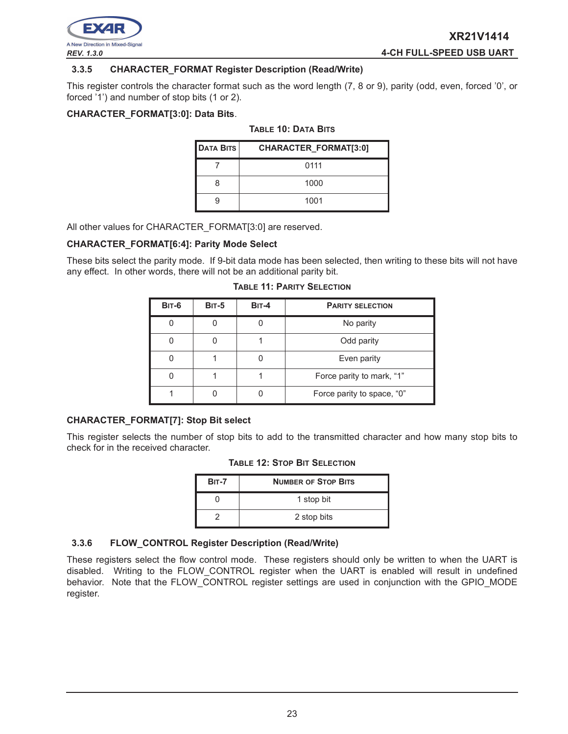

#### **3.3.5 CHARACTER\_FORMAT Register Description (Read/Write)**

This register controls the character format such as the word length (7, 8 or 9), parity (odd, even, forced '0', or forced '1') and number of stop bits (1 or 2).

#### **CHARACTER\_FORMAT[3:0]: Data Bits**.

#### **TABLE 10: DATA BITS**

| <b>DATA BITS</b> | CHARACTER_FORMAT[3:0] |
|------------------|-----------------------|
|                  | 0111                  |
| 8                | 1000                  |
|                  | 1001                  |

All other values for CHARACTER\_FORMAT[3:0] are reserved.

#### **CHARACTER\_FORMAT[6:4]: Parity Mode Select**

These bits select the parity mode. If 9-bit data mode has been selected, then writing to these bits will not have any effect. In other words, there will not be an additional parity bit.

| <b>BIT-6</b> | <b>BIT-5</b> | $BIT-4$ | <b>PARITY SELECTION</b>    |
|--------------|--------------|---------|----------------------------|
|              |              |         | No parity                  |
|              |              |         | Odd parity                 |
|              |              |         | Even parity                |
|              |              |         | Force parity to mark, "1"  |
|              |              |         | Force parity to space, "0" |

#### **TABLE 11: PARITY SELECTION**

#### **CHARACTER\_FORMAT[7]: Stop Bit select**

This register selects the number of stop bits to add to the transmitted character and how many stop bits to check for in the received character.

|  |  |  |  | <b>TABLE 12: STOP BIT SELECTION</b> |
|--|--|--|--|-------------------------------------|
|--|--|--|--|-------------------------------------|

| <b>BIT-7</b> | <b>NUMBER OF STOP BITS</b> |  |  |  |  |  |
|--------------|----------------------------|--|--|--|--|--|
|              | 1 stop bit                 |  |  |  |  |  |
|              | 2 stop bits                |  |  |  |  |  |

#### **3.3.6 FLOW\_CONTROL Register Description (Read/Write)**

These registers select the flow control mode. These registers should only be written to when the UART is disabled. Writing to the FLOW\_CONTROL register when the UART is enabled will result in undefined behavior. Note that the FLOW CONTROL register settings are used in conjunction with the GPIO\_MODE register.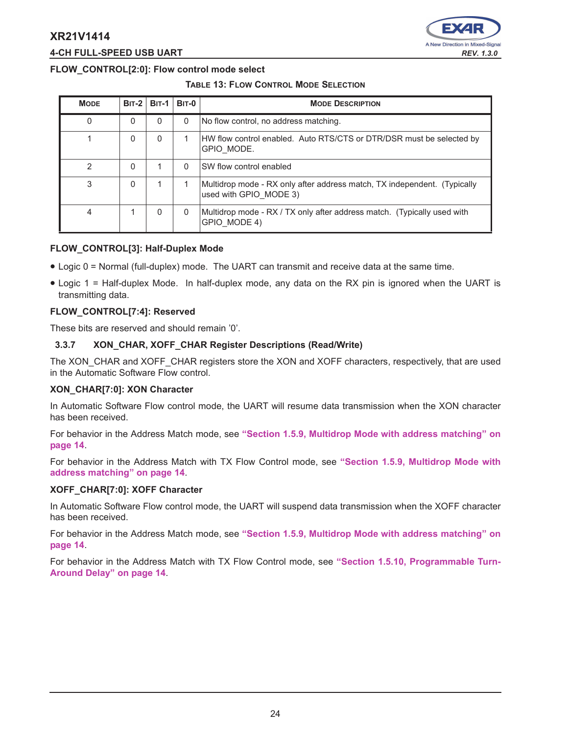

# **4-CH FULL-SPEED USB UART** *REV. 1.3.0*

# **FLOW\_CONTROL[2:0]: Flow control mode select**

#### **TABLE 13: FLOW CONTROL MODE SELECTION**

| <b>MODE</b>    | $BIT-2$ | <b>BIT-1</b> | <b>BIT-0</b> | <b>MODE DESCRIPTION</b>                                                                            |
|----------------|---------|--------------|--------------|----------------------------------------------------------------------------------------------------|
| 0              | 0       |              | $\Omega$     | No flow control, no address matching.                                                              |
|                | 0       | 0            |              | HW flow control enabled. Auto RTS/CTS or DTR/DSR must be selected by<br>GPIO MODE.                 |
| $\overline{2}$ | 0       |              | $\Omega$     | SW flow control enabled                                                                            |
| 3              | 0       |              |              | Multidrop mode - RX only after address match, TX independent. (Typically<br>used with GPIO MODE 3) |
| 4              |         |              | 0            | Multidrop mode - RX / TX only after address match. (Typically used with<br>GPIO MODE 4)            |

#### **FLOW\_CONTROL[3]: Half-Duplex Mode**

- Logic 0 = Normal (full-duplex) mode. The UART can transmit and receive data at the same time.
- Logic 1 = Half-duplex Mode. In half-duplex mode, any data on the RX pin is ignored when the UART is transmitting data.

# **FLOW\_CONTROL[7:4]: Reserved**

These bits are reserved and should remain '0'.

#### **3.3.7 XON\_CHAR, XOFF\_CHAR Register Descriptions (Read/Write)**

The XON\_CHAR and XOFF\_CHAR registers store the XON and XOFF characters, respectively, that are used in the Automatic Software Flow control.

#### **XON\_CHAR[7:0]: XON Character**

In Automatic Software Flow control mode, the UART will resume data transmission when the XON character has been received.

For behavior in the Address Match mode, see **"Section 1.5.9, Multidrop Mode with address matching" on page 14**.

For behavior in the Address Match with TX Flow Control mode, see **"Section 1.5.9, Multidrop Mode with address matching" on page 14**.

#### **XOFF\_CHAR[7:0]: XOFF Character**

In Automatic Software Flow control mode, the UART will suspend data transmission when the XOFF character has been received.

For behavior in the Address Match mode, see **"Section 1.5.9, Multidrop Mode with address matching" on page 14**.

For behavior in the Address Match with TX Flow Control mode, see **"Section 1.5.10, Programmable Turn-Around Delay" on page 14**.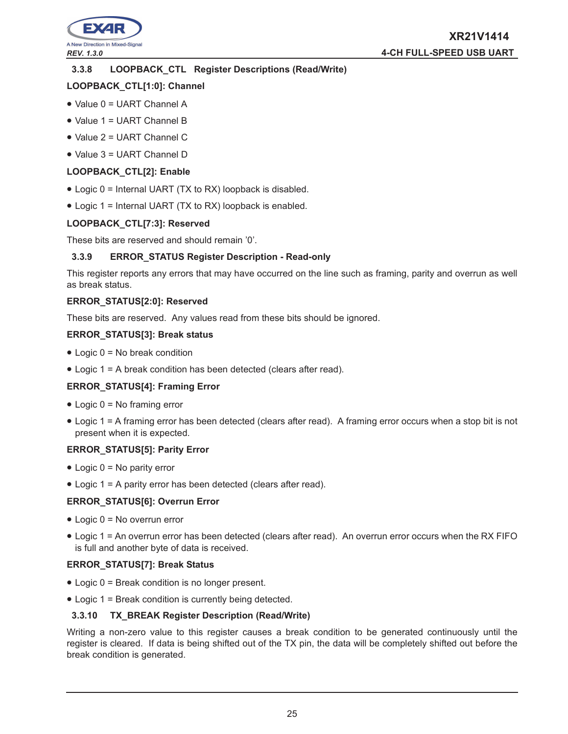

# **3.3.8 LOOPBACK\_CTL Register Descriptions (Read/Write)**

# **LOOPBACK\_CTL[1:0]: Channel**

- Value 0 = UART Channel A
- Value 1 = UART Channel B
- Value 2 = UART Channel C
- Value 3 = UART Channel D

# **LOOPBACK\_CTL[2]: Enable**

- Logic 0 = Internal UART (TX to RX) loopback is disabled.
- Logic 1 = Internal UART (TX to RX) loopback is enabled.

# **LOOPBACK\_CTL[7:3]: Reserved**

These bits are reserved and should remain '0'.

#### **3.3.9 ERROR\_STATUS Register Description - Read-only**

This register reports any errors that may have occurred on the line such as framing, parity and overrun as well as break status.

#### **ERROR\_STATUS[2:0]: Reserved**

These bits are reserved. Any values read from these bits should be ignored.

#### **ERROR\_STATUS[3]: Break status**

- Logic 0 = No break condition
- Logic 1 = A break condition has been detected (clears after read).

# **ERROR\_STATUS[4]: Framing Error**

- $\bullet$  Logic  $0 = No$  framing error
- Logic 1 = A framing error has been detected (clears after read). A framing error occurs when a stop bit is not present when it is expected.

# **ERROR\_STATUS[5]: Parity Error**

- $\bullet$  Logic  $0 = No$  parity error
- Logic 1 = A parity error has been detected (clears after read).

# **ERROR\_STATUS[6]: Overrun Error**

- Logic 0 = No overrun error
- Logic 1 = An overrun error has been detected (clears after read). An overrun error occurs when the RX FIFO is full and another byte of data is received.

# **ERROR\_STATUS[7]: Break Status**

- Logic 0 = Break condition is no longer present.
- Logic 1 = Break condition is currently being detected.

# **3.3.10 TX\_BREAK Register Description (Read/Write)**

Writing a non-zero value to this register causes a break condition to be generated continuously until the register is cleared. If data is being shifted out of the TX pin, the data will be completely shifted out before the break condition is generated.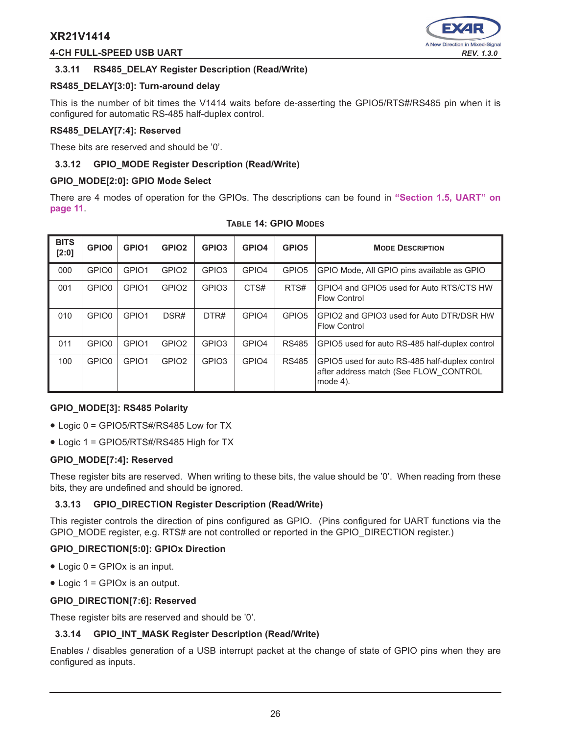# **4-CH FULL-SPEED USB UART** *REV. 1.3.0*



# **3.3.11 RS485\_DELAY Register Description (Read/Write)**

#### **RS485\_DELAY[3:0]: Turn-around delay**

This is the number of bit times the V1414 waits before de-asserting the GPIO5/RTS#/RS485 pin when it is configured for automatic RS-485 half-duplex control.

#### **RS485\_DELAY[7:4]: Reserved**

These bits are reserved and should be '0'.

#### **3.3.12 GPIO\_MODE Register Description (Read/Write)**

#### **GPIO\_MODE[2:0]: GPIO Mode Select**

There are 4 modes of operation for the GPIOs. The descriptions can be found in **"Section 1.5, UART" on page 11**.

| <b>BITS</b><br>$[2:0]$ | <b>GPIO0</b>      | GPIO <sub>1</sub> | GPIO <sub>2</sub> | GPIO <sub>3</sub> | GPIO4             | GPIO <sub>5</sub> | <b>MODE DESCRIPTION</b>                                                                             |
|------------------------|-------------------|-------------------|-------------------|-------------------|-------------------|-------------------|-----------------------------------------------------------------------------------------------------|
| 000                    | GPIO0             | GPIO1             | GPIO <sub>2</sub> | GPIO <sub>3</sub> | GPIO <sub>4</sub> | GPIO <sub>5</sub> | GPIO Mode, All GPIO pins available as GPIO                                                          |
| 001                    | GPIO0             | GPIO1             | GPIO <sub>2</sub> | GPIO <sub>3</sub> | CTS#              | RTS#              | GPIO4 and GPIO5 used for Auto RTS/CTS HW<br><b>Flow Control</b>                                     |
| 010                    | GPIO <sub>0</sub> | GPIO1             | DSR#              | DTR#              | GPIO <sub>4</sub> | GPIO <sub>5</sub> | GPIO2 and GPIO3 used for Auto DTR/DSR HW<br><b>Flow Control</b>                                     |
| 011                    | GPIO0             | GPIO1             | GPIO <sub>2</sub> | GPIO <sub>3</sub> | GPIO <sub>4</sub> | <b>RS485</b>      | GPIO5 used for auto RS-485 half-duplex control                                                      |
| 100                    | GPIO <sub>0</sub> | GPIO <sub>1</sub> | GPIO <sub>2</sub> | GPIO <sub>3</sub> | GPIO <sub>4</sub> | <b>RS485</b>      | GPIO5 used for auto RS-485 half-duplex control<br>after address match (See FLOW CONTROL<br>mode 4). |

#### **TABLE 14: GPIO MODES**

#### **GPIO\_MODE[3]: RS485 Polarity**

- Logic 0 = GPIO5/RTS#/RS485 Low for TX
- Logic 1 = GPIO5/RTS#/RS485 High for TX

#### **GPIO\_MODE[7:4]: Reserved**

These register bits are reserved. When writing to these bits, the value should be '0'. When reading from these bits, they are undefined and should be ignored.

#### **3.3.13 GPIO\_DIRECTION Register Description (Read/Write)**

This register controls the direction of pins configured as GPIO. (Pins configured for UART functions via the GPIO\_MODE register, e.g. RTS# are not controlled or reported in the GPIO\_DIRECTION register.)

#### **GPIO\_DIRECTION[5:0]: GPIOx Direction**

- $\bullet$  Logic  $0 = \text{GPIOx}$  is an input.
- Logic 1 = GPIOx is an output.

#### **GPIO\_DIRECTION[7:6]: Reserved**

These register bits are reserved and should be '0'.

#### **3.3.14 GPIO\_INT\_MASK Register Description (Read/Write)**

Enables / disables generation of a USB interrupt packet at the change of state of GPIO pins when they are configured as inputs.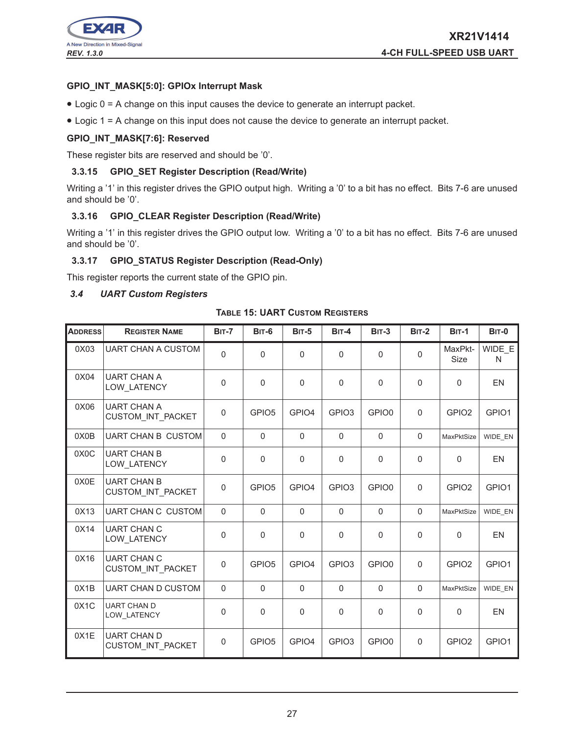

# **GPIO\_INT\_MASK[5:0]: GPIOx Interrupt Mask**

- Logic 0 = A change on this input causes the device to generate an interrupt packet.
- Logic 1 = A change on this input does not cause the device to generate an interrupt packet.

## **GPIO\_INT\_MASK[7:6]: Reserved**

These register bits are reserved and should be '0'.

#### **3.3.15 GPIO\_SET Register Description (Read/Write)**

Writing a '1' in this register drives the GPIO output high. Writing a '0' to a bit has no effect. Bits 7-6 are unused and should be '0'.

# **3.3.16 GPIO\_CLEAR Register Description (Read/Write)**

Writing a '1' in this register drives the GPIO output low. Writing a '0' to a bit has no effect. Bits 7-6 are unused and should be '0'.

## **3.3.17 GPIO\_STATUS Register Description (Read-Only)**

This register reports the current state of the GPIO pin.

#### *3.4 UART Custom Registers*

**TABLE 15: UART CUSTOM REGISTERS**

| <b>ADDRESS</b>    | <b>REGISTER NAME</b>                     | <b>BIT-7</b>   | <b>BIT-6</b>      | <b>BIT-5</b> | BIT-4             | <b>BIT-3</b>      | $BIT-2$     | <b>BIT-1</b>           | <b>BIT-0</b> |
|-------------------|------------------------------------------|----------------|-------------------|--------------|-------------------|-------------------|-------------|------------------------|--------------|
| 0X03              | <b>UART CHAN A CUSTOM</b>                | $\overline{0}$ | 0                 | $\mathbf 0$  | $\mathbf 0$       | $\Omega$          | $\Omega$    | MaxPkt-<br><b>Size</b> | WIDE E<br>N  |
| 0X04              | <b>UART CHAN A</b><br>LOW LATENCY        | 0              | $\Omega$          | $\Omega$     | $\mathbf{0}$      | 0                 | $\Omega$    | $\Omega$               | <b>EN</b>    |
| 0X06              | <b>UART CHAN A</b><br>CUSTOM_INT_PACKET  | $\mathbf 0$    | GPIO <sub>5</sub> | GPIO4        | GPIO <sub>3</sub> | GPIO0             | $\mathbf 0$ | GPIO <sub>2</sub>      | GPIO1        |
| 0X0B              | <b>UART CHAN B CUSTOM</b>                | $\Omega$       | $\Omega$          | $\Omega$     | $\Omega$          | $\Omega$          | $\Omega$    | MaxPktSize             | WIDE_EN      |
| 0X <sub>0</sub> C | <b>UART CHAN B</b><br><b>LOW LATENCY</b> | $\pmb{0}$      | 0                 | $\pmb{0}$    | 0                 | $\mathsf 0$       | $\mathbf 0$ | $\Omega$               | <b>EN</b>    |
| 0X0E              | <b>UART CHAN B</b><br>CUSTOM INT PACKET  | $\mathbf 0$    | GPIO <sub>5</sub> | GPIO4        | GPIO <sub>3</sub> | GPIO <sub>0</sub> | $\Omega$    | GPIO <sub>2</sub>      | GPIO1        |
| 0X13              | <b>UART CHAN C CUSTOM</b>                | $\Omega$       | $\mathbf 0$       | $\Omega$     | $\mathbf{0}$      | $\Omega$          | $\Omega$    | MaxPktSize             | WIDE EN      |
| 0X14              | <b>UART CHAN C</b><br><b>LOW LATENCY</b> | 0              | $\Omega$          | $\Omega$     | $\Omega$          | $\Omega$          | $\Omega$    | $\Omega$               | <b>EN</b>    |
| 0X16              | <b>UART CHAN C</b><br>CUSTOM INT PACKET  | $\pmb{0}$      | GPIO <sub>5</sub> | GPIO4        | GPIO <sub>3</sub> | GPIO0             | $\mathbf 0$ | GPIO <sub>2</sub>      | GPIO1        |
| 0X1B              | UART CHAN D CUSTOM                       | $\pmb{0}$      | $\mathsf 0$       | $\mathbf 0$  | $\mathbf 0$       | $\Omega$          | $\Omega$    | MaxPktSize             | WIDE EN      |
| 0X1C              | <b>UART CHAN D</b><br>LOW_LATENCY        | $\Omega$       | 0                 | $\Omega$     | $\Omega$          | $\Omega$          | $\mathbf 0$ | $\Omega$               | EN           |
| 0X1E              | <b>UART CHAN D</b><br>CUSTOM INT PACKET  | $\mathbf 0$    | GPIO <sub>5</sub> | GPIO4        | GPIO <sub>3</sub> | GPIO0             | $\mathbf 0$ | GPIO <sub>2</sub>      | GPIO1        |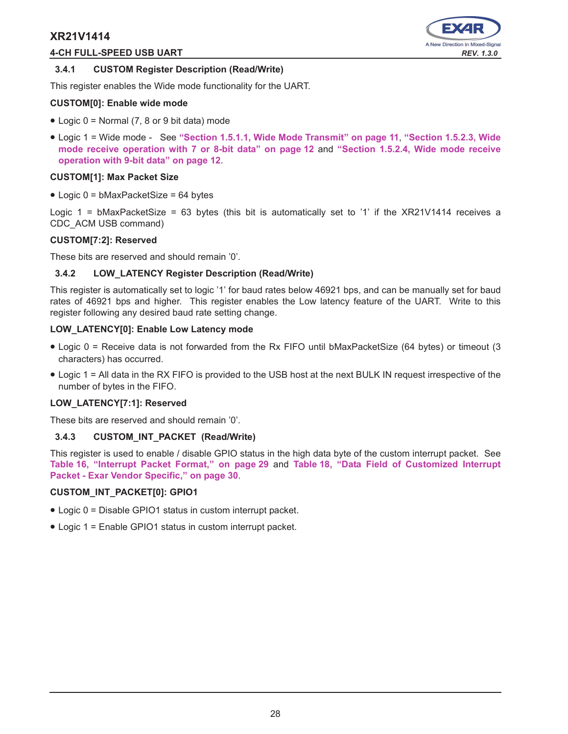# **4-CH FULL-SPEED USB UART** *REV. 1.3.0*



#### **3.4.1 CUSTOM Register Description (Read/Write)**

This register enables the Wide mode functionality for the UART.

## **CUSTOM[0]: Enable wide mode**

- Logic 0 = Normal (7, 8 or 9 bit data) mode
- Logic 1 = Wide mode See **"Section 1.5.1.1, Wide Mode Transmit" on page 11**, **"Section 1.5.2.3, Wide mode receive operation with 7 or 8-bit data" on page 12** and **"Section 1.5.2.4, Wide mode receive operation with 9-bit data" on page 12**.

#### **CUSTOM[1]: Max Packet Size**

 $\bullet$  Logic 0 = bMaxPacketSize = 64 bytes

Logic 1 = bMaxPacketSize = 63 bytes (this bit is automatically set to '1' if the XR21V1414 receives a CDC\_ACM USB command)

#### **CUSTOM[7:2]: Reserved**

These bits are reserved and should remain '0'.

#### **3.4.2 LOW\_LATENCY Register Description (Read/Write)**

This register is automatically set to logic '1' for baud rates below 46921 bps, and can be manually set for baud rates of 46921 bps and higher. This register enables the Low latency feature of the UART. Write to this register following any desired baud rate setting change.

#### **LOW\_LATENCY[0]: Enable Low Latency mode**

- Logic 0 = Receive data is not forwarded from the Rx FIFO until bMaxPacketSize (64 bytes) or timeout (3 characters) has occurred.
- Logic 1 = All data in the RX FIFO is provided to the USB host at the next BULK IN request irrespective of the number of bytes in the FIFO.

#### **LOW\_LATENCY[7:1]: Reserved**

These bits are reserved and should remain '0'.

# **3.4.3 CUSTOM\_INT\_PACKET (Read/Write)**

This register is used to enable / disable GPIO status in the high data byte of the custom interrupt packet. See **Table 16, "Interrupt Packet Format," on page 29** and **Table 18, "Data Field of Customized Interrupt Packet - Exar Vendor Specific," on page 30**.

#### **CUSTOM\_INT\_PACKET[0]: GPIO1**

- Logic 0 = Disable GPIO1 status in custom interrupt packet.
- Logic 1 = Enable GPIO1 status in custom interrupt packet.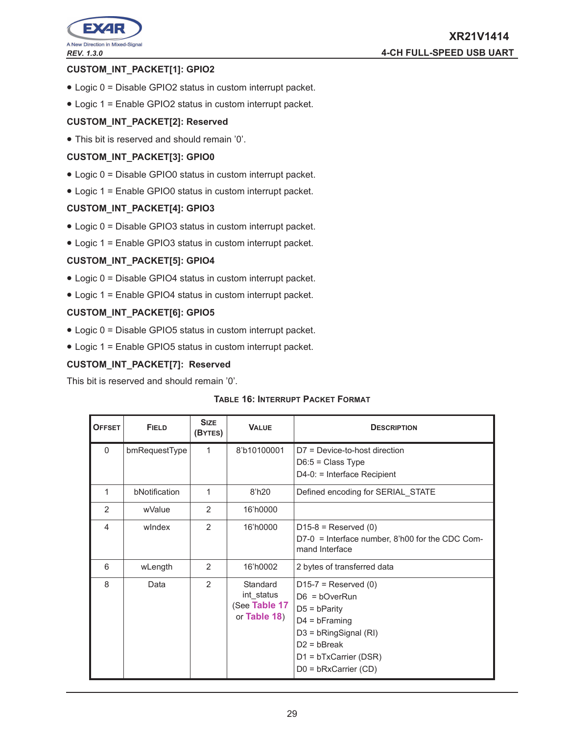

# **CUSTOM\_INT\_PACKET[1]: GPIO2**

- Logic 0 = Disable GPIO2 status in custom interrupt packet.
- Logic 1 = Enable GPIO2 status in custom interrupt packet.

# **CUSTOM\_INT\_PACKET[2]: Reserved**

• This bit is reserved and should remain '0'.

# **CUSTOM\_INT\_PACKET[3]: GPIO0**

- Logic 0 = Disable GPIO0 status in custom interrupt packet.
- Logic 1 = Enable GPIO0 status in custom interrupt packet.

# **CUSTOM\_INT\_PACKET[4]: GPIO3**

- Logic 0 = Disable GPIO3 status in custom interrupt packet.
- Logic 1 = Enable GPIO3 status in custom interrupt packet.

# **CUSTOM\_INT\_PACKET[5]: GPIO4**

- Logic 0 = Disable GPIO4 status in custom interrupt packet.
- Logic 1 = Enable GPIO4 status in custom interrupt packet.

# **CUSTOM\_INT\_PACKET[6]: GPIO5**

- Logic 0 = Disable GPIO5 status in custom interrupt packet.
- Logic 1 = Enable GPIO5 status in custom interrupt packet.

# **CUSTOM\_INT\_PACKET[7]: Reserved**

This bit is reserved and should remain '0'.

#### **TABLE 16: INTERRUPT PACKET FORMAT**

| <b>OFFSET</b>  | <b>FIELD</b>  | <b>SIZE</b><br>(BYTES) | <b>VALUE</b>                                            | <b>DESCRIPTION</b>                                                                                                                                                             |
|----------------|---------------|------------------------|---------------------------------------------------------|--------------------------------------------------------------------------------------------------------------------------------------------------------------------------------|
| $\mathbf{0}$   | bmRequestType | 1                      | 8'b10100001                                             | $D7 = Device-to-host direction$<br>$D6:5 = Class Type$<br>$D4-0$ : = Interface Recipient                                                                                       |
| 1              | bNotification | 1                      | 8'h20                                                   | Defined encoding for SERIAL_STATE                                                                                                                                              |
| $\overline{2}$ | wValue        | $\overline{2}$         | 16'h0000                                                |                                                                                                                                                                                |
| 4              | windex        | $\overline{2}$         | 16'h0000                                                | $D15-8$ = Reserved (0)<br>$D7-0$ = Interface number, 8'h00 for the CDC Com-<br>mand Interface                                                                                  |
| 6              | wLength       | 2                      | 16'h0002                                                | 2 bytes of transferred data                                                                                                                                                    |
| 8              | Data          | $\overline{2}$         | Standard<br>int_status<br>(See Table 17<br>or Table 18) | $D15-7$ = Reserved (0)<br>$D6 = bOverRun$<br>$D5 = b$ Parity<br>$D4 = b$ Framing<br>D3 = bRingSignal (RI)<br>$D2 = bBreak$<br>$D1 = bTxCarrier(DSR)$<br>$D0 = bRxCarrier (CD)$ |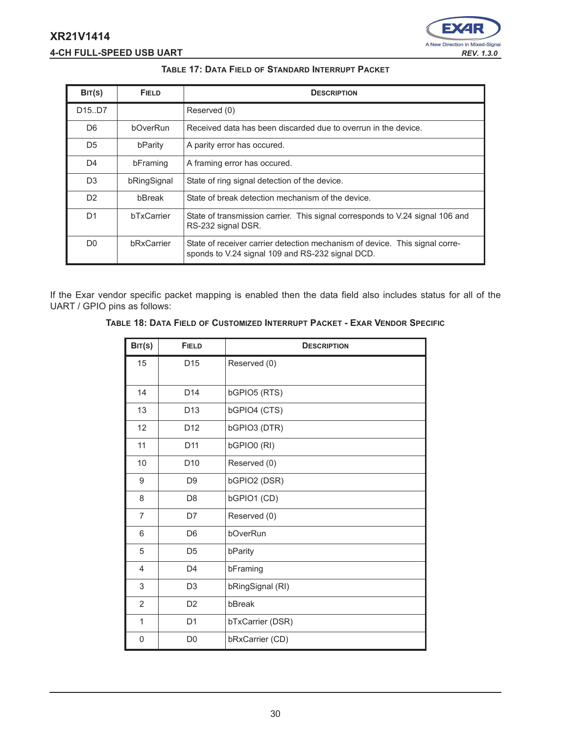# **4-CH FULL-SPEED USB UART** *REV. 1.3.0*



#### **TABLE 17: DATA FIELD OF STANDARD INTERRUPT PACKET**

| BIT(S)                          | <b>FIELD</b>      | <b>DESCRIPTION</b>                                                                                                              |
|---------------------------------|-------------------|---------------------------------------------------------------------------------------------------------------------------------|
| D <sub>15</sub> .D <sub>7</sub> |                   | Reserved (0)                                                                                                                    |
| D <sub>6</sub>                  | bOverRun          | Received data has been discarded due to overrun in the device.                                                                  |
| D <sub>5</sub>                  | bParity           | A parity error has occured.                                                                                                     |
| D4                              | bFraming          | A framing error has occured.                                                                                                    |
| D <sub>3</sub>                  | bRingSignal       | State of ring signal detection of the device.                                                                                   |
| D <sub>2</sub>                  | bBreak            | State of break detection mechanism of the device.                                                                               |
| D <sub>1</sub>                  | <b>bTxCarrier</b> | State of transmission carrier. This signal corresponds to V.24 signal 106 and<br>RS-232 signal DSR.                             |
| D <sub>0</sub>                  | bRxCarrier        | State of receiver carrier detection mechanism of device. This signal corre-<br>sponds to V.24 signal 109 and RS-232 signal DCD. |

If the Exar vendor specific packet mapping is enabled then the data field also includes status for all of the UART / GPIO pins as follows:

## **TABLE 18: DATA FIELD OF CUSTOMIZED INTERRUPT PACKET - EXAR VENDOR SPECIFIC**

| BIT(S)         | <b>FIELD</b>    | <b>DESCRIPTION</b> |
|----------------|-----------------|--------------------|
| 15             | D <sub>15</sub> | Reserved (0)       |
| 14             | D <sub>14</sub> | bGPIO5 (RTS)       |
| 13             | D <sub>13</sub> | bGPIO4 (CTS)       |
| 12             | D <sub>12</sub> | bGPIO3 (DTR)       |
| 11             | D <sub>11</sub> | bGPIO0 (RI)        |
| 10             | D <sub>10</sub> | Reserved (0)       |
| 9              | D <sub>9</sub>  | bGPIO2 (DSR)       |
| 8              | D <sub>8</sub>  | bGPIO1 (CD)        |
| $\overline{7}$ | D7              | Reserved (0)       |
| 6              | D <sub>6</sub>  | bOverRun           |
| 5              | D <sub>5</sub>  | bParity            |
| 4              | D <sub>4</sub>  | bFraming           |
| 3              | D <sub>3</sub>  | bRingSignal (RI)   |
| 2              | D <sub>2</sub>  | bBreak             |
| $\mathbf{1}$   | D <sub>1</sub>  | bTxCarrier (DSR)   |
| 0              | D <sub>0</sub>  | bRxCarrier (CD)    |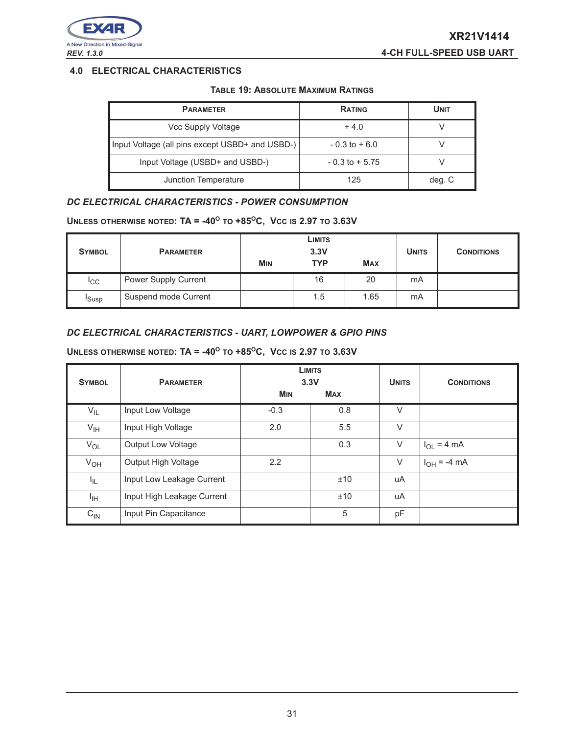

# **4.0 ELECTRICAL CHARACTERISTICS**

#### **TABLE 19: ABSOLUTE MAXIMUM RATINGS**

| <b>PARAMETER</b>                                | <b>RATING</b>     | <b>UNIT</b> |
|-------------------------------------------------|-------------------|-------------|
| Vcc Supply Voltage                              | $+4.0$            |             |
| Input Voltage (all pins except USBD+ and USBD-) | $-0.3$ to $+6.0$  |             |
| Input Voltage (USBD+ and USBD-)                 | $-0.3$ to $+5.75$ |             |
| Junction Temperature                            | 125               | deg. C      |

# *DC ELECTRICAL CHARACTERISTICS - POWER CONSUMPTION*

#### **UNLESS OTHERWISE NOTED: TA = -40<sup>O</sup> TO +85<sup>O</sup>C, VCC IS 2.97 TO 3.63V**

| <b>SYMBOL</b><br><b>PARAMETER</b> |                      | LIMITS<br>3.3V        |            |            | <b>UNITS</b> | <b>CONDITIONS</b> |
|-----------------------------------|----------------------|-----------------------|------------|------------|--------------|-------------------|
|                                   |                      | <b>M<sub>IN</sub></b> | <b>TYP</b> | <b>MAX</b> |              |                   |
| <sup>I</sup> CC                   | Power Supply Current |                       | 16         | 20         | mA           |                   |
| <sup>I</sup> Susp                 | Suspend mode Current |                       | 1.5        | 1.65       | mA           |                   |

# *DC ELECTRICAL CHARACTERISTICS - UART, LOWPOWER & GPIO PINS*

#### **UNLESS OTHERWISE NOTED: TA = -40<sup>O</sup> TO +85<sup>O</sup>C, VCC IS 2.97 TO 3.63V**

| <b>SYMBOL</b>   | <b>PARAMETER</b>           |            | <b>LIMITS</b><br>3.3V | <b>UNITS</b> | <b>CONDITIONS</b> |
|-----------------|----------------------------|------------|-----------------------|--------------|-------------------|
|                 |                            | <b>MIN</b> | <b>MAX</b>            |              |                   |
| $V_{IL}$        | Input Low Voltage          | $-0.3$     | 0.8                   | $\vee$       |                   |
| $V_{\text{IH}}$ | Input High Voltage         | 2.0        | 5.5                   | $\vee$       |                   |
| $V_{OL}$        | <b>Output Low Voltage</b>  |            | 0.3                   | V            | $I_{OL}$ = 4 mA   |
| $V_{OH}$        | Output High Voltage        | 2.2        |                       | V            | $I_{OH} = -4 mA$  |
| I <sub>IL</sub> | Input Low Leakage Current  |            | ±10                   | uA           |                   |
| ЧH              | Input High Leakage Current |            | ±10                   | uA           |                   |
| $C_{IN}$        | Input Pin Capacitance      |            | 5                     | pF           |                   |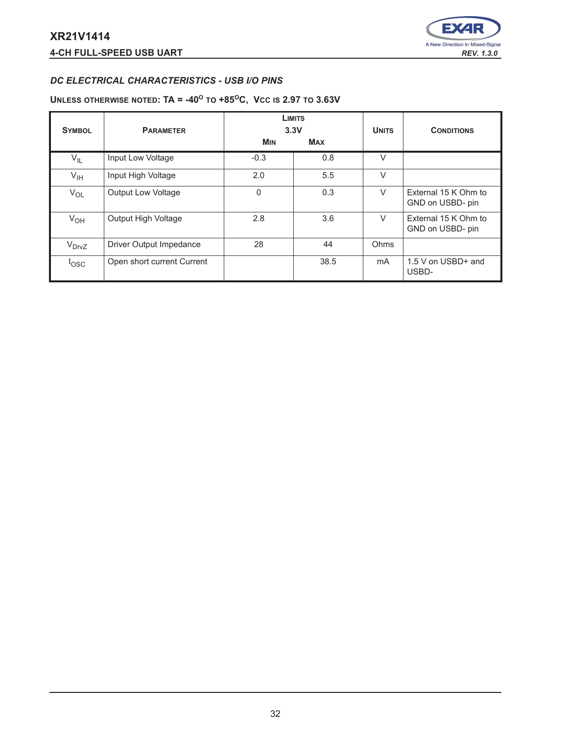

# *DC ELECTRICAL CHARACTERISTICS - USB I/O PINS*

#### **UNLESS OTHERWISE NOTED: TA = -40<sup>O</sup> TO +85<sup>O</sup>C, VCC IS 2.97 TO 3.63V**

| <b>SYMBOL</b>    | <b>PARAMETER</b>           |            | <b>LIMITS</b><br>3.3V | <b>UNITS</b> | <b>CONDITIONS</b>                        |
|------------------|----------------------------|------------|-----------------------|--------------|------------------------------------------|
|                  |                            | <b>MIN</b> | <b>MAX</b>            |              |                                          |
| $V_{IL}$         | Input Low Voltage          | $-0.3$     | 0.8                   | V            |                                          |
| $V_{\text{IH}}$  | Input High Voltage         | 2.0        | 5.5                   | V            |                                          |
| $V_{OL}$         | <b>Output Low Voltage</b>  | 0          | 0.3                   | $\vee$       | External 15 K Ohm to<br>GND on USBD- pin |
| $V_{OH}$         | Output High Voltage        | 2.8        | 3.6                   | V            | External 15 K Ohm to<br>GND on USBD- pin |
| $V_{DrvZ}$       | Driver Output Impedance    | 28         | 44                    | Ohms         |                                          |
| <sup>l</sup> osc | Open short current Current |            | 38.5                  | mA           | 1.5 V on USBD+ and<br>USBD-              |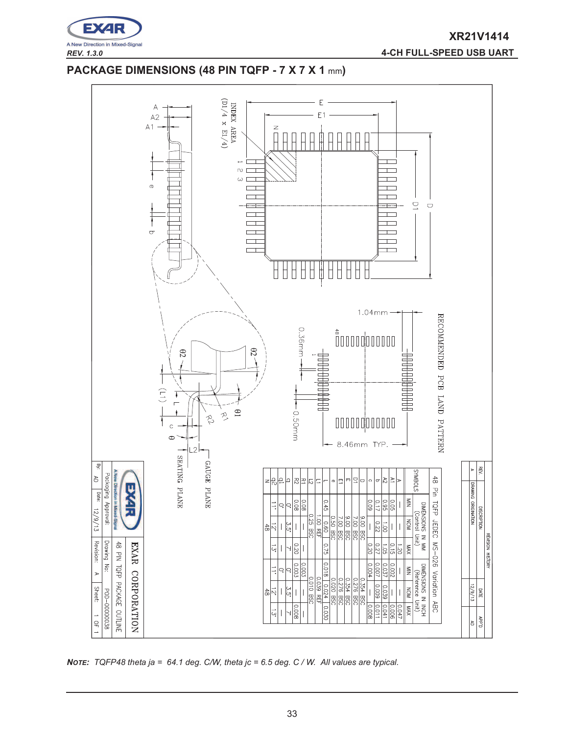

*REV. 1.3.0* **4-CH FULL-SPEED USB UART**

# **PACKAGE DIMENSIONS (48 PIN TQFP - 7 X 7 X 1** mm**)**



*NOTE: TQFP48 theta ja = 64.1 deg. C/W, theta jc = 6.5 deg. C / W. All values are typical.*